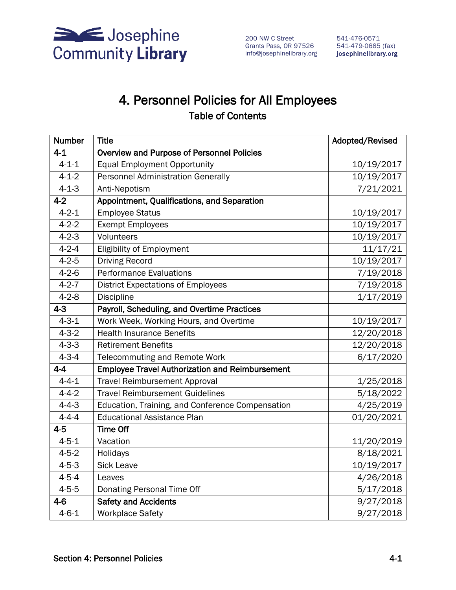

200 NW C Street Grants Pass, OR 97526 541-479-0685 (fax) info@josephinelibrary.org josephinelibrary.org

# 4. Personnel Policies for All Employees

### Table of Contents

| <b>Number</b> | <b>Title</b>                                           | Adopted/Revised |  |  |
|---------------|--------------------------------------------------------|-----------------|--|--|
| $4 - 1$       | Overview and Purpose of Personnel Policies             |                 |  |  |
| $4 - 1 - 1$   | <b>Equal Employment Opportunity</b>                    | 10/19/2017      |  |  |
| $4 - 1 - 2$   | <b>Personnel Administration Generally</b>              | 10/19/2017      |  |  |
| $4 - 1 - 3$   | Anti-Nepotism                                          | 7/21/2021       |  |  |
| $4-2$         | Appointment, Qualifications, and Separation            |                 |  |  |
| $4 - 2 - 1$   | <b>Employee Status</b>                                 | 10/19/2017      |  |  |
| $4 - 2 - 2$   | <b>Exempt Employees</b>                                | 10/19/2017      |  |  |
| $4 - 2 - 3$   | Volunteers                                             | 10/19/2017      |  |  |
| $4 - 2 - 4$   | <b>Eligibility of Employment</b>                       | 11/17/21        |  |  |
| $4 - 2 - 5$   | <b>Driving Record</b>                                  | 10/19/2017      |  |  |
| $4 - 2 - 6$   | Performance Evaluations                                | 7/19/2018       |  |  |
| $4 - 2 - 7$   | <b>District Expectations of Employees</b>              | 7/19/2018       |  |  |
| $4 - 2 - 8$   | <b>Discipline</b>                                      | 1/17/2019       |  |  |
| $4 - 3$       | Payroll, Scheduling, and Overtime Practices            |                 |  |  |
| $4 - 3 - 1$   | Work Week, Working Hours, and Overtime                 | 10/19/2017      |  |  |
| $4 - 3 - 2$   | <b>Health Insurance Benefits</b>                       | 12/20/2018      |  |  |
| $4 - 3 - 3$   | <b>Retirement Benefits</b>                             | 12/20/2018      |  |  |
| $4 - 3 - 4$   | <b>Telecommuting and Remote Work</b>                   | 6/17/2020       |  |  |
| $4 - 4$       | <b>Employee Travel Authorization and Reimbursement</b> |                 |  |  |
| $4 - 4 - 1$   | <b>Travel Reimbursement Approval</b>                   | 1/25/2018       |  |  |
| $4 - 4 - 2$   | <b>Travel Reimbursement Guidelines</b>                 | 5/18/2022       |  |  |
| $4 - 4 - 3$   | Education, Training, and Conference Compensation       | 4/25/2019       |  |  |
| $4 - 4 - 4$   | <b>Educational Assistance Plan</b>                     | 01/20/2021      |  |  |
| $4 - 5$       | <b>Time Off</b>                                        |                 |  |  |
| $4 - 5 - 1$   | Vacation                                               | 11/20/2019      |  |  |
| $4 - 5 - 2$   | Holidays                                               | 8/18/2021       |  |  |
| $4 - 5 - 3$   | <b>Sick Leave</b>                                      | 10/19/2017      |  |  |
| $4 - 5 - 4$   | Leaves                                                 | 4/26/2018       |  |  |
| $4 - 5 - 5$   | Donating Personal Time Off                             | 5/17/2018       |  |  |
| $4-6$         | <b>Safety and Accidents</b>                            | 9/27/2018       |  |  |
| $4 - 6 - 1$   | <b>Workplace Safety</b>                                | 9/27/2018       |  |  |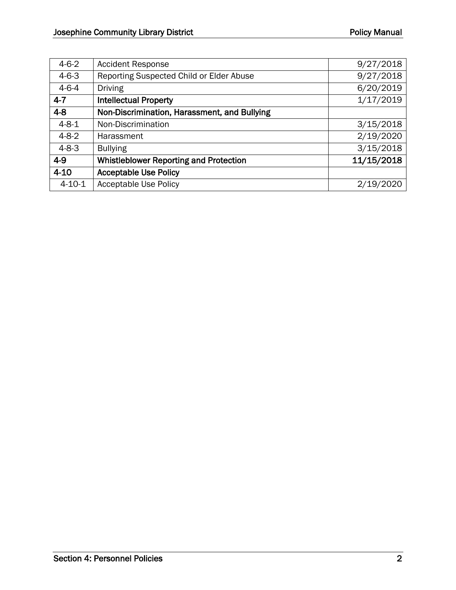| $4-6-2$      | <b>Accident Response</b>                      | 9/27/2018  |
|--------------|-----------------------------------------------|------------|
| $4-6-3$      | Reporting Suspected Child or Elder Abuse      | 9/27/2018  |
| $4-6-4$      | <b>Driving</b>                                | 6/20/2019  |
| $4 - 7$      | <b>Intellectual Property</b>                  | 1/17/2019  |
| $4 - 8$      | Non-Discrimination, Harassment, and Bullying  |            |
| $4 - 8 - 1$  | Non-Discrimination                            | 3/15/2018  |
| $4-8-2$      | Harassment                                    | 2/19/2020  |
| $4-8-3$      | <b>Bullying</b>                               | 3/15/2018  |
| $4-9$        | <b>Whistleblower Reporting and Protection</b> | 11/15/2018 |
| $4 - 10$     | <b>Acceptable Use Policy</b>                  |            |
| $4 - 10 - 1$ | <b>Acceptable Use Policy</b>                  | 2/19/2020  |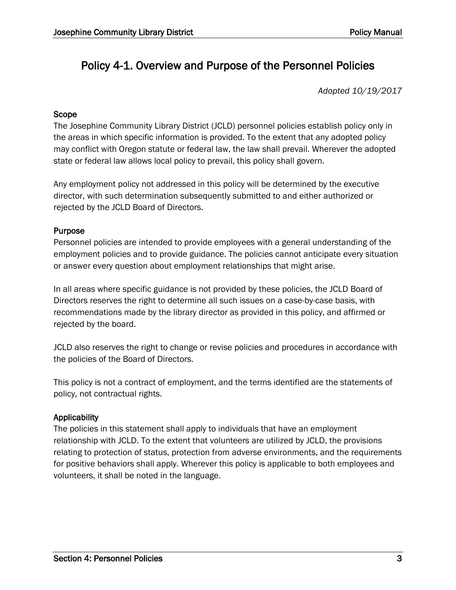# Policy 4-1. Overview and Purpose of the Personnel Policies

*Adopted 10/19/2017*

#### Scope

The Josephine Community Library District (JCLD) personnel policies establish policy only in the areas in which specific information is provided. To the extent that any adopted policy may conflict with Oregon statute or federal law, the law shall prevail. Wherever the adopted state or federal law allows local policy to prevail, this policy shall govern.

Any employment policy not addressed in this policy will be determined by the executive director, with such determination subsequently submitted to and either authorized or rejected by the JCLD Board of Directors.

#### Purpose

Personnel policies are intended to provide employees with a general understanding of the employment policies and to provide guidance. The policies cannot anticipate every situation or answer every question about employment relationships that might arise.

In all areas where specific guidance is not provided by these policies, the JCLD Board of Directors reserves the right to determine all such issues on a case-by-case basis, with recommendations made by the library director as provided in this policy, and affirmed or rejected by the board.

JCLD also reserves the right to change or revise policies and procedures in accordance with the policies of the Board of Directors.

This policy is not a contract of employment, and the terms identified are the statements of policy, not contractual rights.

#### Applicability

The policies in this statement shall apply to individuals that have an employment relationship with JCLD. To the extent that volunteers are utilized by JCLD, the provisions relating to protection of status, protection from adverse environments, and the requirements for positive behaviors shall apply. Wherever this policy is applicable to both employees and volunteers, it shall be noted in the language.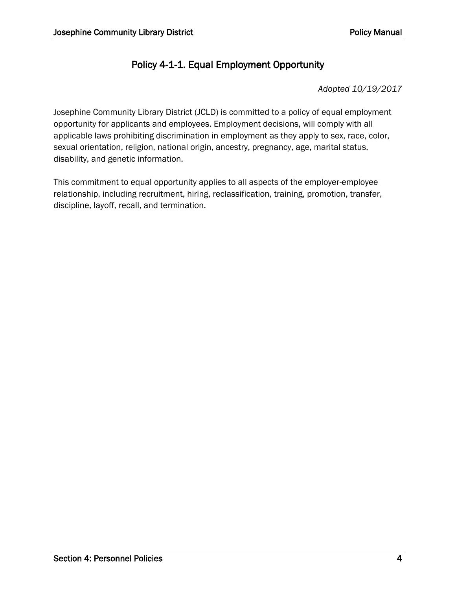### Policy 4-1-1. Equal Employment Opportunity

*Adopted 10/19/2017*

Josephine Community Library District (JCLD) is committed to a policy of equal employment opportunity for applicants and employees. Employment decisions, will comply with all applicable laws prohibiting discrimination in employment as they apply to sex, race, color, sexual orientation, religion, national origin, ancestry, pregnancy, age, marital status, disability, and genetic information.

This commitment to equal opportunity applies to all aspects of the employer-employee relationship, including recruitment, hiring, reclassification, training, promotion, transfer, discipline, layoff, recall, and termination.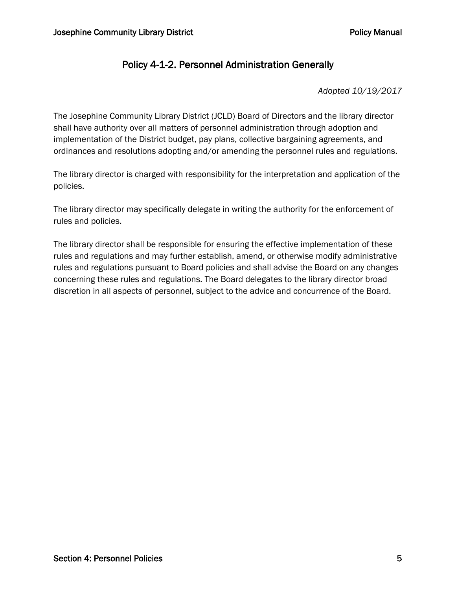### Policy 4-1-2. Personnel Administration Generally

*Adopted 10/19/2017*

The Josephine Community Library District (JCLD) Board of Directors and the library director shall have authority over all matters of personnel administration through adoption and implementation of the District budget, pay plans, collective bargaining agreements, and ordinances and resolutions adopting and/or amending the personnel rules and regulations.

The library director is charged with responsibility for the interpretation and application of the policies.

The library director may specifically delegate in writing the authority for the enforcement of rules and policies.

The library director shall be responsible for ensuring the effective implementation of these rules and regulations and may further establish, amend, or otherwise modify administrative rules and regulations pursuant to Board policies and shall advise the Board on any changes concerning these rules and regulations. The Board delegates to the library director broad discretion in all aspects of personnel, subject to the advice and concurrence of the Board.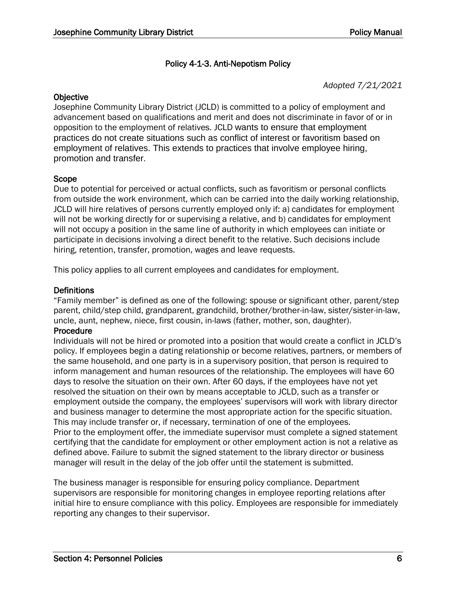#### Policy 4-1-3. Anti-Nepotism Policy

#### *Adopted 7/21/2021*

#### **Objective**

Josephine Community Library District (JCLD) is committed to a policy of employment and advancement based on qualifications and merit and does not discriminate in favor of or in opposition to the employment of relatives. JCLD wants to ensure that employment practices do not create situations such as conflict of interest or favoritism based on employment of relatives. This extends to practices that involve employee hiring, promotion and transfer.

#### Scope

Due to potential for perceived or actual conflicts, such as favoritism or personal conflicts from outside the work environment, which can be carried into the daily working relationship, JCLD will hire relatives of persons currently employed only if: a) candidates for employment will not be working directly for or supervising a relative, and b) candidates for employment will not occupy a position in the same line of authority in which employees can initiate or participate in decisions involving a direct benefit to the relative. Such decisions include hiring, retention, transfer, promotion, wages and leave requests.

This policy applies to all current employees and candidates for employment.

#### **Definitions**

"Family member" is defined as one of the following: spouse or significant other, parent/step parent, child/step child, grandparent, grandchild, brother/brother-in-law, sister/sister-in-law, uncle, aunt, nephew, niece, first cousin, in-laws (father, mother, son, daughter).

#### Procedure

Individuals will not be hired or promoted into a position that would create a conflict in JCLD's policy. If employees begin a dating relationship or become relatives, partners, or members of the same household, and one party is in a supervisory position, that person is required to inform management and human resources of the relationship. The employees will have 60 days to resolve the situation on their own. After 60 days, if the employees have not yet resolved the situation on their own by means acceptable to JCLD, such as a transfer or employment outside the company, the employees' supervisors will work with library director and business manager to determine the most appropriate action for the specific situation. This may include transfer or, if necessary, termination of one of the employees. Prior to the employment offer, the immediate supervisor must complete a signed statement certifying that the candidate for employment or other employment action is not a relative as defined above. Failure to submit the signed statement to the library director or business manager will result in the delay of the job offer until the statement is submitted.

The business manager is responsible for ensuring policy compliance. Department supervisors are responsible for monitoring changes in employee reporting relations after initial hire to ensure compliance with this policy. Employees are responsible for immediately reporting any changes to their supervisor.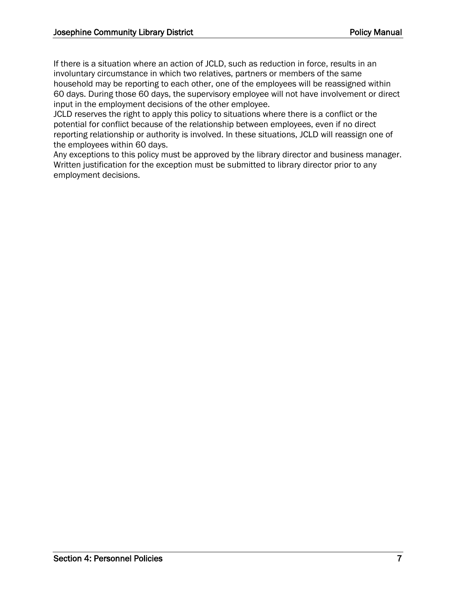If there is a situation where an action of JCLD, such as reduction in force, results in an involuntary circumstance in which two relatives, partners or members of the same household may be reporting to each other, one of the employees will be reassigned within 60 days. During those 60 days, the supervisory employee will not have involvement or direct input in the employment decisions of the other employee.

JCLD reserves the right to apply this policy to situations where there is a conflict or the potential for conflict because of the relationship between employees, even if no direct reporting relationship or authority is involved. In these situations, JCLD will reassign one of the employees within 60 days.

Any exceptions to this policy must be approved by the library director and business manager. Written justification for the exception must be submitted to library director prior to any employment decisions.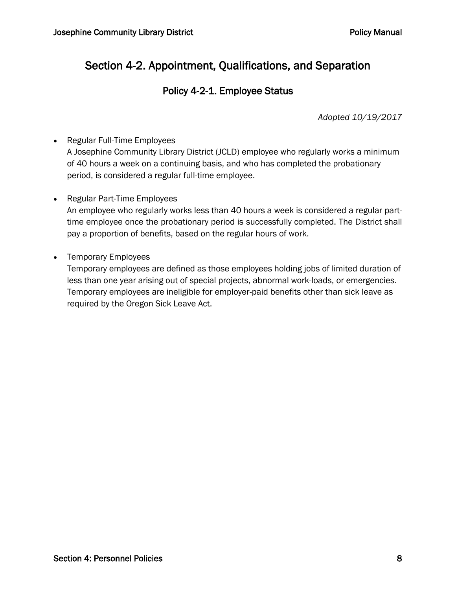# Section 4-2. Appointment, Qualifications, and Separation

### Policy 4-2-1. Employee Status

*Adopted 10/19/2017*

• Regular Full-Time Employees A Josephine Community Library District (JCLD) employee who regularly works a minimum of 40 hours a week on a continuing basis, and who has completed the probationary period, is considered a regular full-time employee.

• Regular Part-Time Employees

An employee who regularly works less than 40 hours a week is considered a regular parttime employee once the probationary period is successfully completed. The District shall pay a proportion of benefits, based on the regular hours of work.

• Temporary Employees

Temporary employees are defined as those employees holding jobs of limited duration of less than one year arising out of special projects, abnormal work-loads, or emergencies. Temporary employees are ineligible for employer-paid benefits other than sick leave as required by the Oregon Sick Leave Act.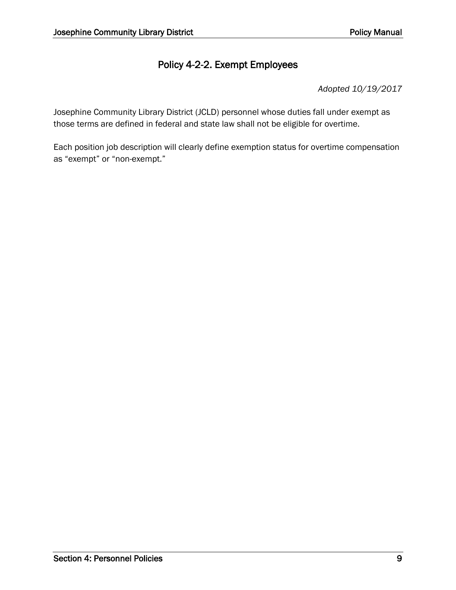### Policy 4-2-2. Exempt Employees

*Adopted 10/19/2017*

Josephine Community Library District (JCLD) personnel whose duties fall under exempt as those terms are defined in federal and state law shall not be eligible for overtime.

Each position job description will clearly define exemption status for overtime compensation as "exempt" or "non-exempt."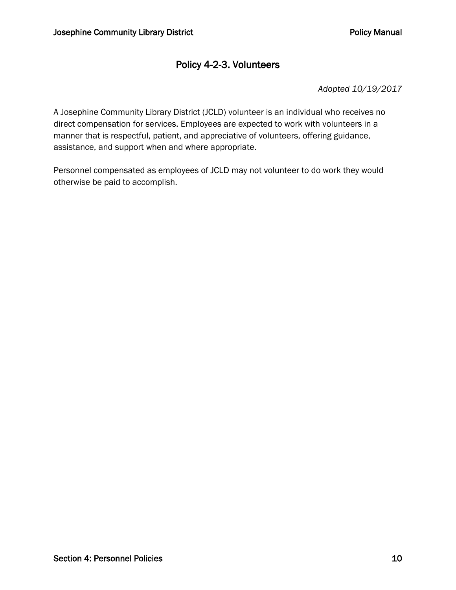### Policy 4-2-3. Volunteers

*Adopted 10/19/2017*

A Josephine Community Library District (JCLD) volunteer is an individual who receives no direct compensation for services. Employees are expected to work with volunteers in a manner that is respectful, patient, and appreciative of volunteers, offering guidance, assistance, and support when and where appropriate.

Personnel compensated as employees of JCLD may not volunteer to do work they would otherwise be paid to accomplish.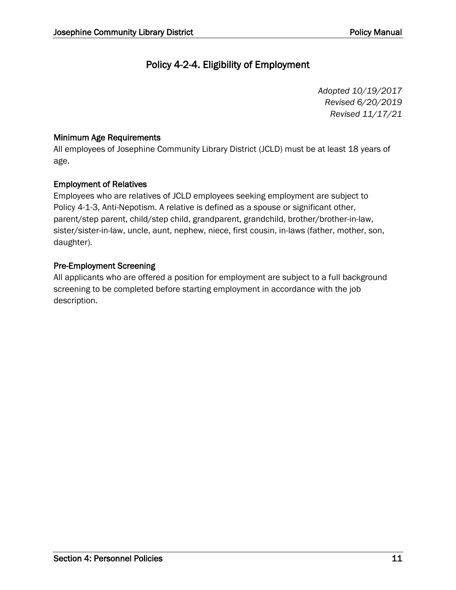### Policy 4-2-4. Eligibility of Employment

*Adopted 10/19/2017 Revised 6/20/2019 Revised 11/17/21*

#### Minimum Age Requirements

All employees of Josephine Community Library District (JCLD) must be at least 18 years of age.

#### Employment of Relatives

Employees who are relatives of JCLD employees seeking employment are subject to Policy 4-1-3, Anti-Nepotism. A relative is defined as a spouse or significant other, parent/step parent, child/step child, grandparent, grandchild, brother/brother-in-law, sister/sister-in-law, uncle, aunt, nephew, niece, first cousin, in-laws (father, mother, son, daughter).

#### Pre-Employment Screening

All applicants who are offered a position for employment are subject to a full background screening to be completed before starting employment in accordance with the job description.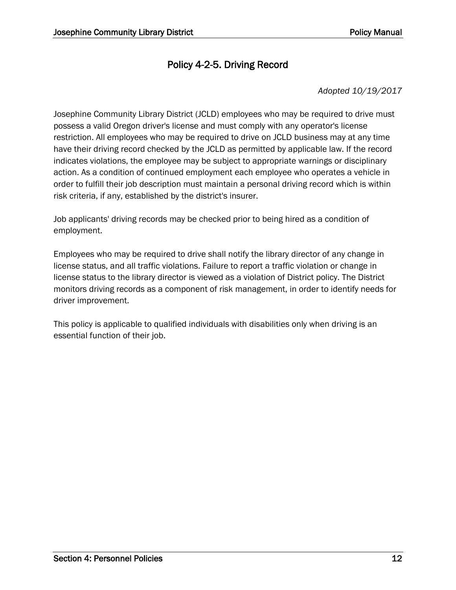### Policy 4-2-5. Driving Record

#### *Adopted 10/19/2017*

Josephine Community Library District (JCLD) employees who may be required to drive must possess a valid Oregon driver's license and must comply with any operator's license restriction. All employees who may be required to drive on JCLD business may at any time have their driving record checked by the JCLD as permitted by applicable law. If the record indicates violations, the employee may be subject to appropriate warnings or disciplinary action. As a condition of continued employment each employee who operates a vehicle in order to fulfill their job description must maintain a personal driving record which is within risk criteria, if any, established by the district's insurer.

Job applicants' driving records may be checked prior to being hired as a condition of employment.

Employees who may be required to drive shall notify the library director of any change in license status, and all traffic violations. Failure to report a traffic violation or change in license status to the library director is viewed as a violation of District policy. The District monitors driving records as a component of risk management, in order to identify needs for driver improvement.

This policy is applicable to qualified individuals with disabilities only when driving is an essential function of their job.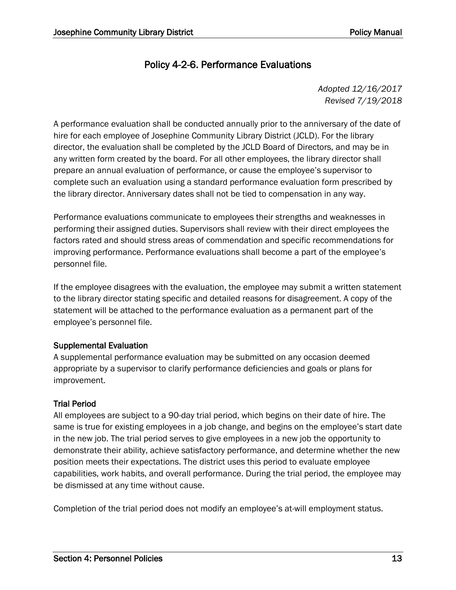### Policy 4-2-6. Performance Evaluations

*Adopted 12/16/2017 Revised 7/19/2018*

A performance evaluation shall be conducted annually prior to the anniversary of the date of hire for each employee of Josephine Community Library District (JCLD). For the library director, the evaluation shall be completed by the JCLD Board of Directors, and may be in any written form created by the board. For all other employees, the library director shall prepare an annual evaluation of performance, or cause the employee's supervisor to complete such an evaluation using a standard performance evaluation form prescribed by the library director. Anniversary dates shall not be tied to compensation in any way.

Performance evaluations communicate to employees their strengths and weaknesses in performing their assigned duties. Supervisors shall review with their direct employees the factors rated and should stress areas of commendation and specific recommendations for improving performance. Performance evaluations shall become a part of the employee's personnel file.

If the employee disagrees with the evaluation, the employee may submit a written statement to the library director stating specific and detailed reasons for disagreement. A copy of the statement will be attached to the performance evaluation as a permanent part of the employee's personnel file.

#### Supplemental Evaluation

A supplemental performance evaluation may be submitted on any occasion deemed appropriate by a supervisor to clarify performance deficiencies and goals or plans for improvement.

#### Trial Period

All employees are subject to a 90-day trial period, which begins on their date of hire. The same is true for existing employees in a job change, and begins on the employee's start date in the new job. The trial period serves to give employees in a new job the opportunity to demonstrate their ability, achieve satisfactory performance, and determine whether the new position meets their expectations. The district uses this period to evaluate employee capabilities, work habits, and overall performance. During the trial period, the employee may be dismissed at any time without cause.

Completion of the trial period does not modify an employee's at-will employment status.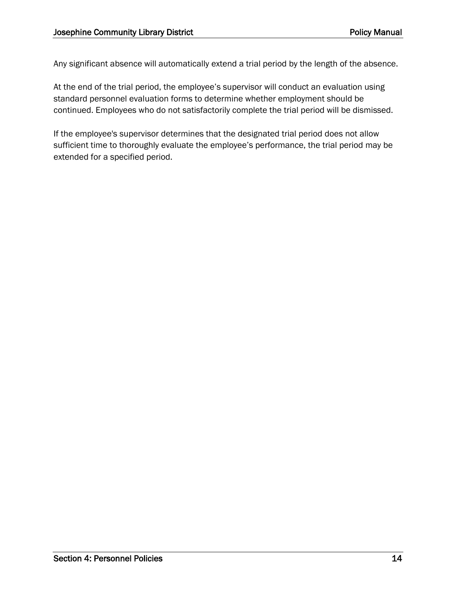Any significant absence will automatically extend a trial period by the length of the absence.

At the end of the trial period, the employee's supervisor will conduct an evaluation using standard personnel evaluation forms to determine whether employment should be continued. Employees who do not satisfactorily complete the trial period will be dismissed.

If the employee's supervisor determines that the designated trial period does not allow sufficient time to thoroughly evaluate the employee's performance, the trial period may be extended for a specified period.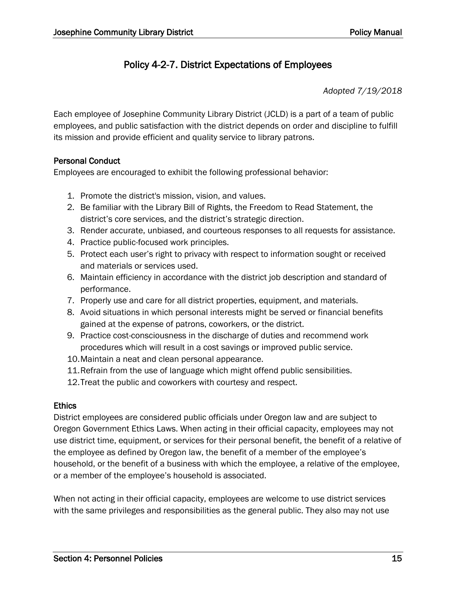### Policy 4-2-7. District Expectations of Employees

*Adopted 7/19/2018*

Each employee of Josephine Community Library District (JCLD) is a part of a team of public employees, and public satisfaction with the district depends on order and discipline to fulfill its mission and provide efficient and quality service to library patrons.

#### Personal Conduct

Employees are encouraged to exhibit the following professional behavior:

- 1. Promote the district's mission, vision, and values.
- 2. Be familiar with the Library Bill of Rights, the Freedom to Read Statement, the district's core services, and the district's strategic direction.
- 3. Render accurate, unbiased, and courteous responses to all requests for assistance.
- 4. Practice public-focused work principles.
- 5. Protect each user's right to privacy with respect to information sought or received and materials or services used.
- 6. Maintain efficiency in accordance with the district job description and standard of performance.
- 7. Properly use and care for all district properties, equipment, and materials.
- 8. Avoid situations in which personal interests might be served or financial benefits gained at the expense of patrons, coworkers, or the district.
- 9. Practice cost-consciousness in the discharge of duties and recommend work procedures which will result in a cost savings or improved public service.
- 10.Maintain a neat and clean personal appearance.
- 11.Refrain from the use of language which might offend public sensibilities.
- 12.Treat the public and coworkers with courtesy and respect.

#### **Ethics**

District employees are considered public officials under Oregon law and are subject to Oregon Government Ethics Laws. When acting in their official capacity, employees may not use district time, equipment, or services for their personal benefit, the benefit of a relative of the employee as defined by Oregon law, the benefit of a member of the employee's household, or the benefit of a business with which the employee, a relative of the employee, or a member of the employee's household is associated.

When not acting in their official capacity, employees are welcome to use district services with the same privileges and responsibilities as the general public. They also may not use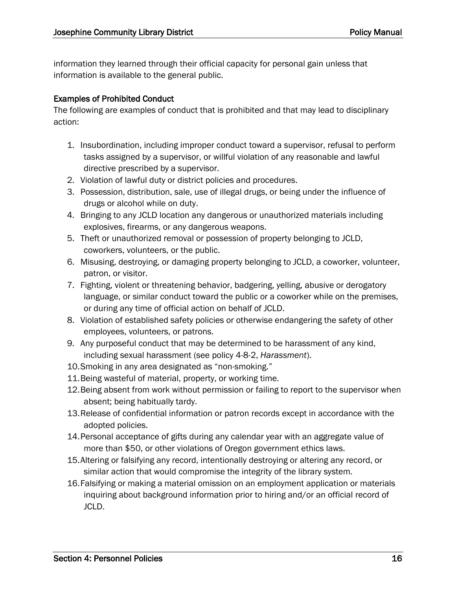information they learned through their official capacity for personal gain unless that information is available to the general public.

#### Examples of Prohibited Conduct

The following are examples of conduct that is prohibited and that may lead to disciplinary action:

- 1. Insubordination, including improper conduct toward a supervisor, refusal to perform tasks assigned by a supervisor, or willful violation of any reasonable and lawful directive prescribed by a supervisor.
- 2. Violation of lawful duty or district policies and procedures.
- 3. Possession, distribution, sale, use of illegal drugs, or being under the influence of drugs or alcohol while on duty.
- 4. Bringing to any JCLD location any dangerous or unauthorized materials including explosives, firearms, or any dangerous weapons.
- 5. Theft or unauthorized removal or possession of property belonging to JCLD, coworkers, volunteers, or the public.
- 6. Misusing, destroying, or damaging property belonging to JCLD, a coworker, volunteer, patron, or visitor.
- 7. Fighting, violent or threatening behavior, badgering, yelling, abusive or derogatory language, or similar conduct toward the public or a coworker while on the premises, or during any time of official action on behalf of JCLD.
- 8. Violation of established safety policies or otherwise endangering the safety of other employees, volunteers, or patrons.
- 9. Any purposeful conduct that may be determined to be harassment of any kind, including sexual harassment (see policy 4-8-2, *Harassment*).
- 10.Smoking in any area designated as "non-smoking."
- 11.Being wasteful of material, property, or working time.
- 12.Being absent from work without permission or failing to report to the supervisor when absent; being habitually tardy.
- 13.Release of confidential information or patron records except in accordance with the adopted policies.
- 14.Personal acceptance of gifts during any calendar year with an aggregate value of more than \$50, or other violations of Oregon government ethics laws.
- 15.Altering or falsifying any record, intentionally destroying or altering any record, or similar action that would compromise the integrity of the library system.
- 16.Falsifying or making a material omission on an employment application or materials inquiring about background information prior to hiring and/or an official record of JCLD.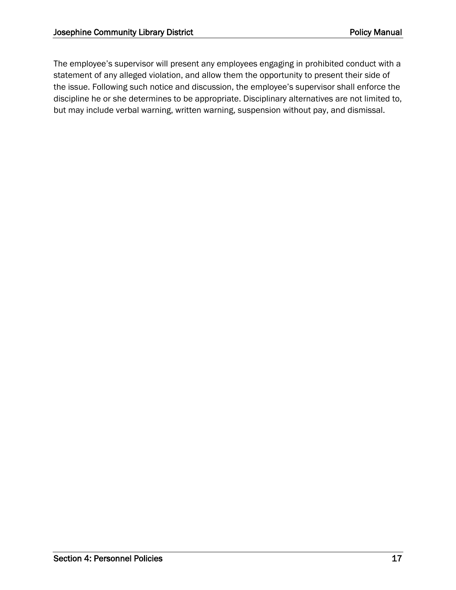The employee's supervisor will present any employees engaging in prohibited conduct with a statement of any alleged violation, and allow them the opportunity to present their side of the issue. Following such notice and discussion, the employee's supervisor shall enforce the discipline he or she determines to be appropriate. Disciplinary alternatives are not limited to, but may include verbal warning, written warning, suspension without pay, and dismissal.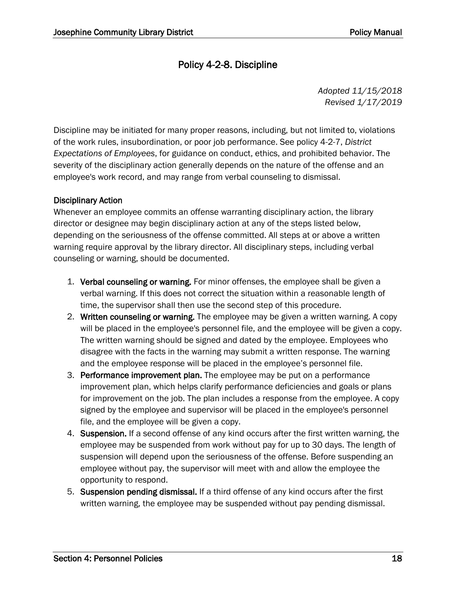### Policy 4-2-8. Discipline

*Adopted 11/15/2018 Revised 1/17/2019*

Discipline may be initiated for many proper reasons, including, but not limited to, violations of the work rules, insubordination, or poor job performance. See policy 4-2-7, *District Expectations of Employees*, for guidance on conduct, ethics, and prohibited behavior. The severity of the disciplinary action generally depends on the nature of the offense and an employee's work record, and may range from verbal counseling to dismissal.

#### Disciplinary Action

Whenever an employee commits an offense warranting disciplinary action, the library director or designee may begin disciplinary action at any of the steps listed below, depending on the seriousness of the offense committed. All steps at or above a written warning require approval by the library director. All disciplinary steps, including verbal counseling or warning, should be documented.

- 1. Verbal counseling or warning. For minor offenses, the employee shall be given a verbal warning. If this does not correct the situation within a reasonable length of time, the supervisor shall then use the second step of this procedure.
- 2. Written counseling or warning. The employee may be given a written warning. A copy will be placed in the employee's personnel file, and the employee will be given a copy. The written warning should be signed and dated by the employee. Employees who disagree with the facts in the warning may submit a written response. The warning and the employee response will be placed in the employee's personnel file.
- 3. Performance improvement plan. The employee may be put on a performance improvement plan, which helps clarify performance deficiencies and goals or plans for improvement on the job. The plan includes a response from the employee. A copy signed by the employee and supervisor will be placed in the employee's personnel file, and the employee will be given a copy.
- 4. Suspension. If a second offense of any kind occurs after the first written warning, the employee may be suspended from work without pay for up to 30 days. The length of suspension will depend upon the seriousness of the offense. Before suspending an employee without pay, the supervisor will meet with and allow the employee the opportunity to respond.
- 5. Suspension pending dismissal. If a third offense of any kind occurs after the first written warning, the employee may be suspended without pay pending dismissal.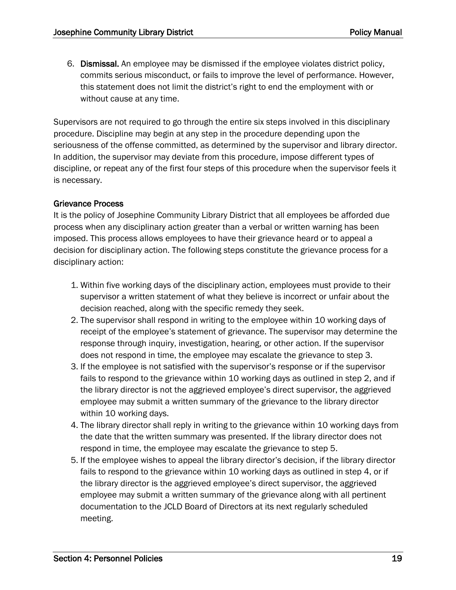6. Dismissal. An employee may be dismissed if the employee violates district policy, commits serious misconduct, or fails to improve the level of performance. However, this statement does not limit the district's right to end the employment with or without cause at any time.

Supervisors are not required to go through the entire six steps involved in this disciplinary procedure. Discipline may begin at any step in the procedure depending upon the seriousness of the offense committed, as determined by the supervisor and library director. In addition, the supervisor may deviate from this procedure, impose different types of discipline, or repeat any of the first four steps of this procedure when the supervisor feels it is necessary.

#### Grievance Process

It is the policy of Josephine Community Library District that all employees be afforded due process when any disciplinary action greater than a verbal or written warning has been imposed. This process allows employees to have their grievance heard or to appeal a decision for disciplinary action. The following steps constitute the grievance process for a disciplinary action:

- 1. Within five working days of the disciplinary action, employees must provide to their supervisor a written statement of what they believe is incorrect or unfair about the decision reached, along with the specific remedy they seek.
- 2. The supervisor shall respond in writing to the employee within 10 working days of receipt of the employee's statement of grievance. The supervisor may determine the response through inquiry, investigation, hearing, or other action. If the supervisor does not respond in time, the employee may escalate the grievance to step 3.
- 3. If the employee is not satisfied with the supervisor's response or if the supervisor fails to respond to the grievance within 10 working days as outlined in step 2, and if the library director is not the aggrieved employee's direct supervisor, the aggrieved employee may submit a written summary of the grievance to the library director within 10 working days.
- 4. The library director shall reply in writing to the grievance within 10 working days from the date that the written summary was presented. If the library director does not respond in time, the employee may escalate the grievance to step 5.
- 5. If the employee wishes to appeal the library director's decision, if the library director fails to respond to the grievance within 10 working days as outlined in step 4, or if the library director is the aggrieved employee's direct supervisor, the aggrieved employee may submit a written summary of the grievance along with all pertinent documentation to the JCLD Board of Directors at its next regularly scheduled meeting.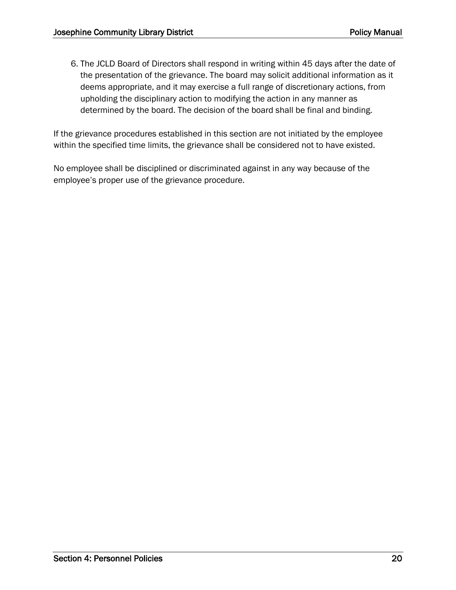6. The JCLD Board of Directors shall respond in writing within 45 days after the date of the presentation of the grievance. The board may solicit additional information as it deems appropriate, and it may exercise a full range of discretionary actions, from upholding the disciplinary action to modifying the action in any manner as determined by the board. The decision of the board shall be final and binding.

If the grievance procedures established in this section are not initiated by the employee within the specified time limits, the grievance shall be considered not to have existed.

No employee shall be disciplined or discriminated against in any way because of the employee's proper use of the grievance procedure.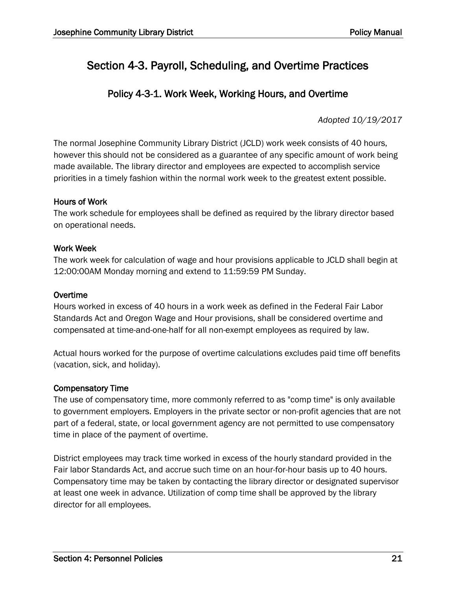# Section 4-3. Payroll, Scheduling, and Overtime Practices

### Policy 4-3-1. Work Week, Working Hours, and Overtime

*Adopted 10/19/2017*

The normal Josephine Community Library District (JCLD) work week consists of 40 hours, however this should not be considered as a guarantee of any specific amount of work being made available. The library director and employees are expected to accomplish service priorities in a timely fashion within the normal work week to the greatest extent possible.

#### Hours of Work

The work schedule for employees shall be defined as required by the library director based on operational needs.

#### Work Week

The work week for calculation of wage and hour provisions applicable to JCLD shall begin at 12:00:00AM Monday morning and extend to 11:59:59 PM Sunday.

#### Overtime

Hours worked in excess of 40 hours in a work week as defined in the Federal Fair Labor Standards Act and Oregon Wage and Hour provisions, shall be considered overtime and compensated at time-and-one-half for all non-exempt employees as required by law.

Actual hours worked for the purpose of overtime calculations excludes paid time off benefits (vacation, sick, and holiday).

#### Compensatory Time

The use of compensatory time, more commonly referred to as "comp time" is only available to government employers. Employers in the private sector or non-profit agencies that are not part of a federal, state, or local government agency are not permitted to use compensatory time in place of the payment of overtime.

District employees may track time worked in excess of the hourly standard provided in the Fair labor Standards Act, and accrue such time on an hour-for-hour basis up to 40 hours. Compensatory time may be taken by contacting the library director or designated supervisor at least one week in advance. Utilization of comp time shall be approved by the library director for all employees.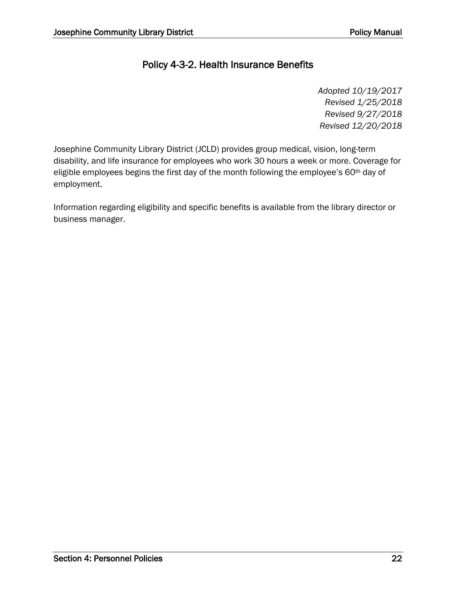### Policy 4-3-2. Health Insurance Benefits

*Adopted 10/19/2017 Revised 1/25/2018 Revised 9/27/2018 Revised 12/20/2018*

Josephine Community Library District (JCLD) provides group medical, vision, long-term disability, and life insurance for employees who work 30 hours a week or more. Coverage for eligible employees begins the first day of the month following the employee's 60<sup>th</sup> day of employment.

Information regarding eligibility and specific benefits is available from the library director or business manager.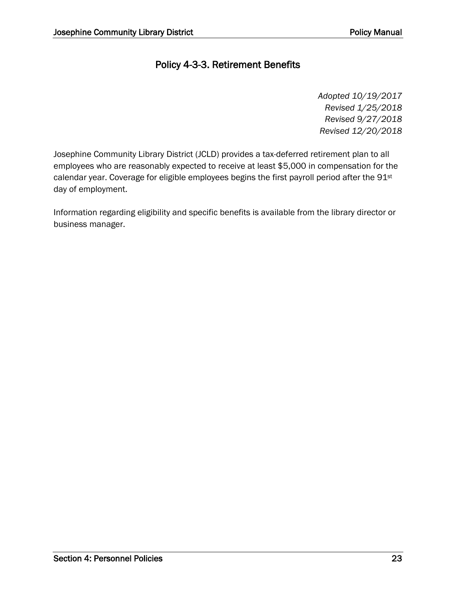### Policy 4-3-3. Retirement Benefits

*Adopted 10/19/2017 Revised 1/25/2018 Revised 9/27/2018 Revised 12/20/2018*

Josephine Community Library District (JCLD) provides a tax-deferred retirement plan to all employees who are reasonably expected to receive at least \$5,000 in compensation for the calendar year. Coverage for eligible employees begins the first payroll period after the 91<sup>st</sup> day of employment.

Information regarding eligibility and specific benefits is available from the library director or business manager.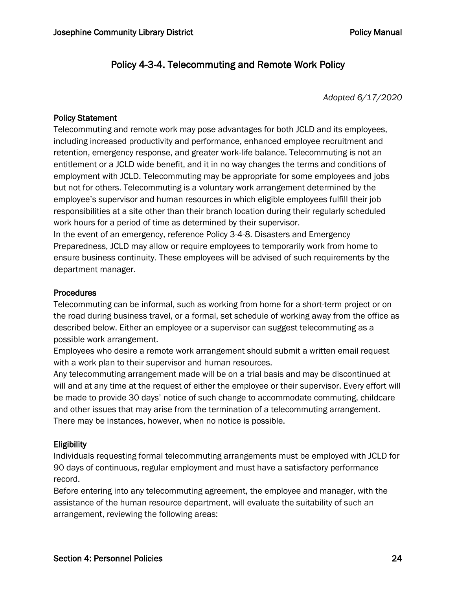### Policy 4-3-4. Telecommuting and Remote Work Policy

*Adopted 6/17/2020*

#### Policy Statement

Telecommuting and remote work may pose advantages for both JCLD and its employees, including increased productivity and performance, enhanced employee recruitment and retention, emergency response, and greater work-life balance. Telecommuting is not an entitlement or a JCLD wide benefit, and it in no way changes the terms and conditions of employment with JCLD. Telecommuting may be appropriate for some employees and jobs but not for others. Telecommuting is a voluntary work arrangement determined by the employee's supervisor and human resources in which eligible employees fulfill their job responsibilities at a site other than their branch location during their regularly scheduled work hours for a period of time as determined by their supervisor.

In the event of an emergency, reference Policy 3-4-8. Disasters and Emergency Preparedness, JCLD may allow or require employees to temporarily work from home to ensure business continuity. These employees will be advised of such requirements by the department manager.

#### Procedures

Telecommuting can be informal, such as working from home for a short-term project or on the road during business travel, or a formal, set schedule of working away from the office as described below. Either an employee or a supervisor can suggest telecommuting as a possible work arrangement.

Employees who desire a remote work arrangement should submit a written email request with a work plan to their supervisor and human resources.

Any telecommuting arrangement made will be on a trial basis and may be discontinued at will and at any time at the request of either the employee or their supervisor. Every effort will be made to provide 30 days' notice of such change to accommodate commuting, childcare and other issues that may arise from the termination of a telecommuting arrangement. There may be instances, however, when no notice is possible.

#### **Eligibility**

Individuals requesting formal telecommuting arrangements must be employed with JCLD for 90 days of continuous, regular employment and must have a satisfactory performance record.

Before entering into any telecommuting agreement, the employee and manager, with the assistance of the human resource department, will evaluate the suitability of such an arrangement, reviewing the following areas: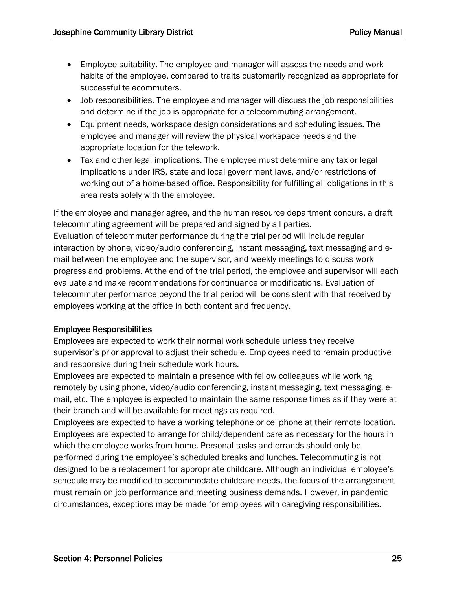- Employee suitability. The employee and manager will assess the needs and work habits of the employee, compared to traits customarily recognized as appropriate for successful telecommuters.
- Job responsibilities. The employee and manager will discuss the job responsibilities and determine if the job is appropriate for a telecommuting arrangement.
- Equipment needs, workspace design considerations and scheduling issues. The employee and manager will review the physical workspace needs and the appropriate location for the telework.
- Tax and other legal implications. The employee must determine any tax or legal implications under IRS, state and local government laws, and/or restrictions of working out of a home-based office. Responsibility for fulfilling all obligations in this area rests solely with the employee.

If the employee and manager agree, and the human resource department concurs, a draft telecommuting agreement will be prepared and signed by all parties. Evaluation of telecommuter performance during the trial period will include regular interaction by phone, video/audio conferencing, instant messaging, text messaging and email between the employee and the supervisor, and weekly meetings to discuss work progress and problems. At the end of the trial period, the employee and supervisor will each evaluate and make recommendations for continuance or modifications. Evaluation of telecommuter performance beyond the trial period will be consistent with that received by employees working at the office in both content and frequency.

#### Employee Responsibilities

Employees are expected to work their normal work schedule unless they receive supervisor's prior approval to adjust their schedule. Employees need to remain productive and responsive during their schedule work hours.

Employees are expected to maintain a presence with fellow colleagues while working remotely by using phone, video/audio conferencing, instant messaging, text messaging, email, etc. The employee is expected to maintain the same response times as if they were at their branch and will be available for meetings as required.

Employees are expected to have a working telephone or cellphone at their remote location. Employees are expected to arrange for child/dependent care as necessary for the hours in which the employee works from home. Personal tasks and errands should only be performed during the employee's scheduled breaks and lunches. Telecommuting is not designed to be a replacement for appropriate childcare. Although an individual employee's schedule may be modified to accommodate childcare needs, the focus of the arrangement must remain on job performance and meeting business demands. However, in pandemic circumstances, exceptions may be made for employees with caregiving responsibilities.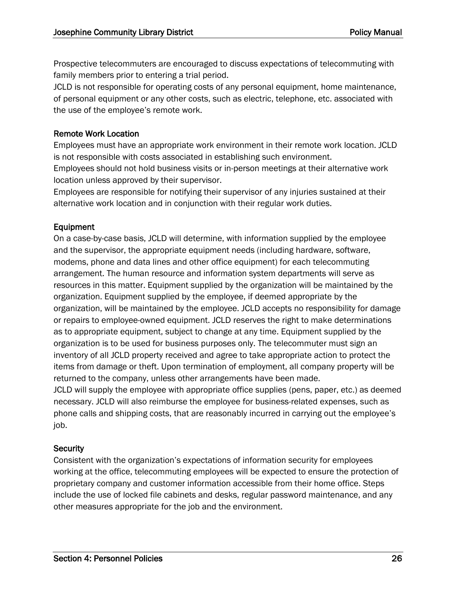Prospective telecommuters are encouraged to discuss expectations of telecommuting with family members prior to entering a trial period.

JCLD is not responsible for operating costs of any personal equipment, home maintenance, of personal equipment or any other costs, such as electric, telephone, etc. associated with the use of the employee's remote work.

#### Remote Work Location

Employees must have an appropriate work environment in their remote work location. JCLD is not responsible with costs associated in establishing such environment.

Employees should not hold business visits or in-person meetings at their alternative work location unless approved by their supervisor.

Employees are responsible for notifying their supervisor of any injuries sustained at their alternative work location and in conjunction with their regular work duties.

#### Equipment

On a case-by-case basis, JCLD will determine, with information supplied by the employee and the supervisor, the appropriate equipment needs (including hardware, software, modems, phone and data lines and other office equipment) for each telecommuting arrangement. The human resource and information system departments will serve as resources in this matter. Equipment supplied by the organization will be maintained by the organization. Equipment supplied by the employee, if deemed appropriate by the organization, will be maintained by the employee. JCLD accepts no responsibility for damage or repairs to employee-owned equipment. JCLD reserves the right to make determinations as to appropriate equipment, subject to change at any time. Equipment supplied by the organization is to be used for business purposes only. The telecommuter must sign an inventory of all JCLD property received and agree to take appropriate action to protect the items from damage or theft. Upon termination of employment, all company property will be returned to the company, unless other arrangements have been made.

JCLD will supply the employee with appropriate office supplies (pens, paper, etc.) as deemed necessary. JCLD will also reimburse the employee for business-related expenses, such as phone calls and shipping costs, that are reasonably incurred in carrying out the employee's job.

#### **Security**

Consistent with the organization's expectations of information security for employees working at the office, telecommuting employees will be expected to ensure the protection of proprietary company and customer information accessible from their home office. Steps include the use of locked file cabinets and desks, regular password maintenance, and any other measures appropriate for the job and the environment.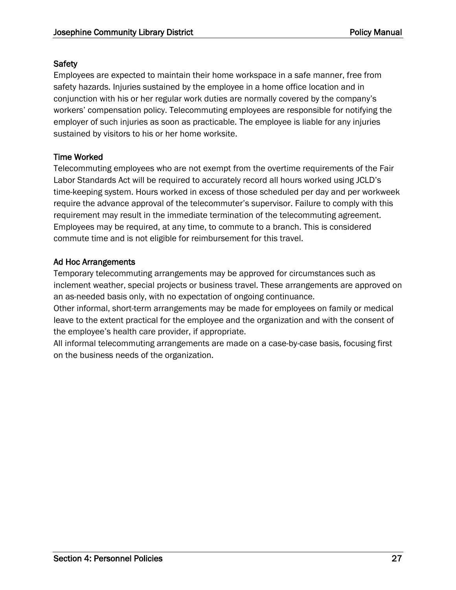#### **Safety**

Employees are expected to maintain their home workspace in a safe manner, free from safety hazards. Injuries sustained by the employee in a home office location and in conjunction with his or her regular work duties are normally covered by the company's workers' compensation policy. Telecommuting employees are responsible for notifying the employer of such injuries as soon as practicable. The employee is liable for any injuries sustained by visitors to his or her home worksite.

#### Time Worked

Telecommuting employees who are not exempt from the overtime requirements of the Fair Labor Standards Act will be required to accurately record all hours worked using JCLD's time-keeping system. Hours worked in excess of those scheduled per day and per workweek require the advance approval of the telecommuter's supervisor. Failure to comply with this requirement may result in the immediate termination of the telecommuting agreement. Employees may be required, at any time, to commute to a branch. This is considered commute time and is not eligible for reimbursement for this travel.

#### Ad Hoc Arrangements

Temporary telecommuting arrangements may be approved for circumstances such as inclement weather, special projects or business travel. These arrangements are approved on an as-needed basis only, with no expectation of ongoing continuance.

Other informal, short-term arrangements may be made for employees on family or medical leave to the extent practical for the employee and the organization and with the consent of the employee's health care provider, if appropriate.

All informal telecommuting arrangements are made on a case-by-case basis, focusing first on the business needs of the organization.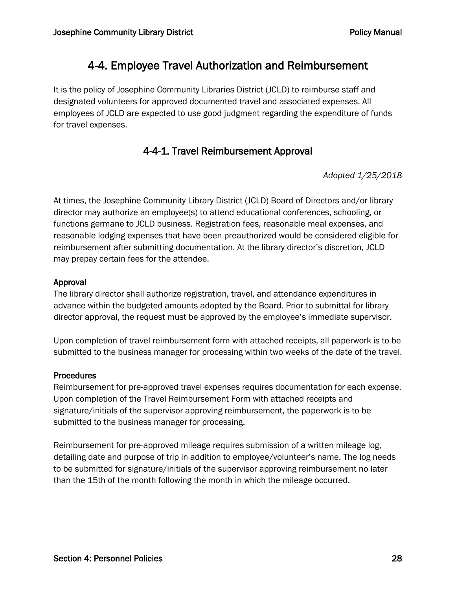# 4-4. Employee Travel Authorization and Reimbursement

It is the policy of Josephine Community Libraries District (JCLD) to reimburse staff and designated volunteers for approved documented travel and associated expenses. All employees of JCLD are expected to use good judgment regarding the expenditure of funds for travel expenses.

### 4-4-1. Travel Reimbursement Approval

*Adopted 1/25/2018*

At times, the Josephine Community Library District (JCLD) Board of Directors and/or library director may authorize an employee(s) to attend educational conferences, schooling, or functions germane to JCLD business. Registration fees, reasonable meal expenses, and reasonable lodging expenses that have been preauthorized would be considered eligible for reimbursement after submitting documentation. At the library director's discretion, JCLD may prepay certain fees for the attendee.

#### Approval

The library director shall authorize registration, travel, and attendance expenditures in advance within the budgeted amounts adopted by the Board. Prior to submittal for library director approval, the request must be approved by the employee's immediate supervisor.

Upon completion of travel reimbursement form with attached receipts, all paperwork is to be submitted to the business manager for processing within two weeks of the date of the travel.

#### **Procedures**

Reimbursement for pre-approved travel expenses requires documentation for each expense. Upon completion of the Travel Reimbursement Form with attached receipts and signature/initials of the supervisor approving reimbursement, the paperwork is to be submitted to the business manager for processing.

Reimbursement for pre-approved mileage requires submission of a written mileage log, detailing date and purpose of trip in addition to employee/volunteer's name. The log needs to be submitted for signature/initials of the supervisor approving reimbursement no later than the 15th of the month following the month in which the mileage occurred.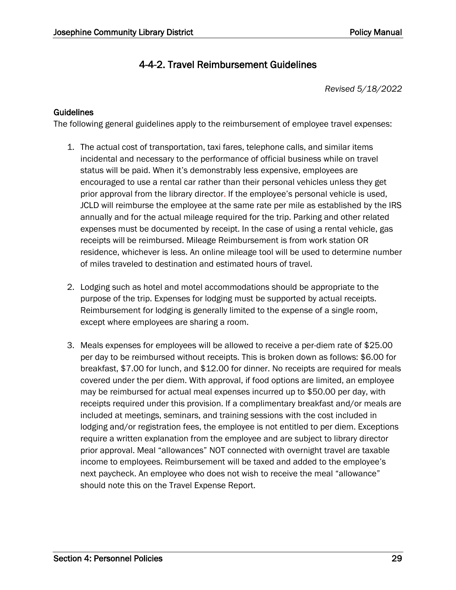### 4-4-2. Travel Reimbursement Guidelines

*Revised 5/18/2022*

#### **Guidelines**

The following general guidelines apply to the reimbursement of employee travel expenses:

- 1. The actual cost of transportation, taxi fares, telephone calls, and similar items incidental and necessary to the performance of official business while on travel status will be paid. When it's demonstrably less expensive, employees are encouraged to use a rental car rather than their personal vehicles unless they get prior approval from the library director. If the employee's personal vehicle is used, JCLD will reimburse the employee at the same rate per mile as established by the IRS annually and for the actual mileage required for the trip. Parking and other related expenses must be documented by receipt. In the case of using a rental vehicle, gas receipts will be reimbursed. Mileage Reimbursement is from work station OR residence, whichever is less. An online mileage tool will be used to determine number of miles traveled to destination and estimated hours of travel.
- 2. Lodging such as hotel and motel accommodations should be appropriate to the purpose of the trip. Expenses for lodging must be supported by actual receipts. Reimbursement for lodging is generally limited to the expense of a single room, except where employees are sharing a room.
- 3. Meals expenses for employees will be allowed to receive a per-diem rate of \$25.00 per day to be reimbursed without receipts. This is broken down as follows: \$6.00 for breakfast, \$7.00 for lunch, and \$12.00 for dinner. No receipts are required for meals covered under the per diem. With approval, if food options are limited, an employee may be reimbursed for actual meal expenses incurred up to \$50.00 per day, with receipts required under this provision. If a complimentary breakfast and/or meals are included at meetings, seminars, and training sessions with the cost included in lodging and/or registration fees, the employee is not entitled to per diem. Exceptions require a written explanation from the employee and are subject to library director prior approval. Meal "allowances" NOT connected with overnight travel are taxable income to employees. Reimbursement will be taxed and added to the employee's next paycheck. An employee who does not wish to receive the meal "allowance" should note this on the Travel Expense Report.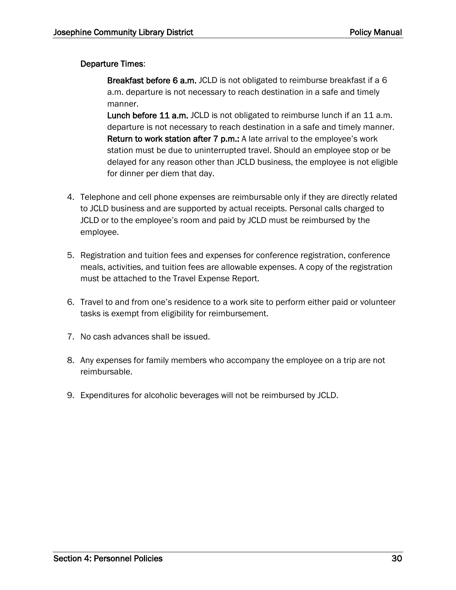#### Departure Times:

Breakfast before 6 a.m. JCLD is not obligated to reimburse breakfast if a 6 a.m. departure is not necessary to reach destination in a safe and timely manner.

Lunch before 11 a.m. JCLD is not obligated to reimburse lunch if an 11 a.m. departure is not necessary to reach destination in a safe and timely manner. Return to work station after 7 p.m.: A late arrival to the employee's work station must be due to uninterrupted travel. Should an employee stop or be delayed for any reason other than JCLD business, the employee is not eligible for dinner per diem that day.

- 4. Telephone and cell phone expenses are reimbursable only if they are directly related to JCLD business and are supported by actual receipts. Personal calls charged to JCLD or to the employee's room and paid by JCLD must be reimbursed by the employee.
- 5. Registration and tuition fees and expenses for conference registration, conference meals, activities, and tuition fees are allowable expenses. A copy of the registration must be attached to the Travel Expense Report.
- 6. Travel to and from one's residence to a work site to perform either paid or volunteer tasks is exempt from eligibility for reimbursement.
- 7. No cash advances shall be issued.
- 8. Any expenses for family members who accompany the employee on a trip are not reimbursable.
- 9. Expenditures for alcoholic beverages will not be reimbursed by JCLD.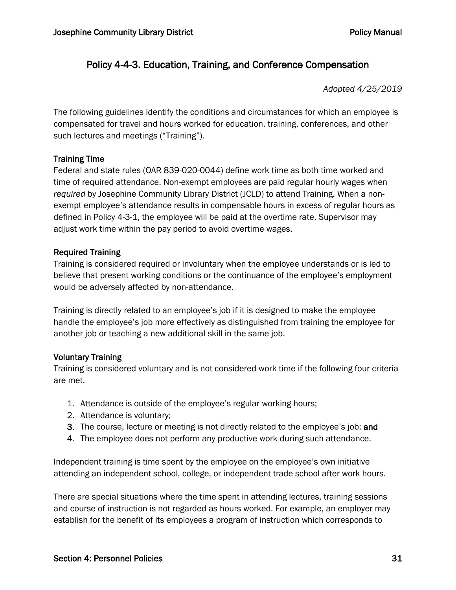### Policy 4-4-3. Education, Training, and Conference Compensation

*Adopted 4/25/2019*

The following guidelines identify the conditions and circumstances for which an employee is compensated for travel and hours worked for education, training, conferences, and other such lectures and meetings ("Training").

#### Training Time

Federal and state rules (OAR 839-020-0044) define work time as both time worked and time of required attendance. Non-exempt employees are paid regular hourly wages when *required* by Josephine Community Library District (JCLD) to attend Training. When a nonexempt employee's attendance results in compensable hours in excess of regular hours as defined in Policy 4-3-1, the employee will be paid at the overtime rate. Supervisor may adjust work time within the pay period to avoid overtime wages.

#### Required Training

Training is considered required or involuntary when the employee understands or is led to believe that present working conditions or the continuance of the employee's employment would be adversely affected by non-attendance.

Training is directly related to an employee's job if it is designed to make the employee handle the employee's job more effectively as distinguished from training the employee for another job or teaching a new additional skill in the same job.

#### Voluntary Training

Training is considered voluntary and is not considered work time if the following four criteria are met.

- 1. Attendance is outside of the employee's regular working hours;
- 2. Attendance is voluntary;
- 3. The course, lecture or meeting is not directly related to the employee's job; and
- 4. The employee does not perform any productive work during such attendance.

Independent training is time spent by the employee on the employee's own initiative attending an independent school, college, or independent trade school after work hours.

There are special situations where the time spent in attending lectures, training sessions and course of instruction is not regarded as hours worked. For example, an employer may establish for the benefit of its employees a program of instruction which corresponds to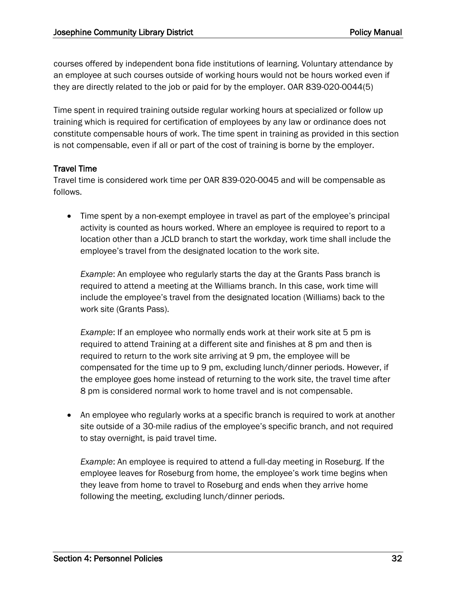courses offered by independent bona fide institutions of learning. Voluntary attendance by an employee at such courses outside of working hours would not be hours worked even if they are directly related to the job or paid for by the employer. OAR 839-020-0044(5)

Time spent in required training outside regular working hours at specialized or follow up training which is required for certification of employees by any law or ordinance does not constitute compensable hours of work. The time spent in training as provided in this section is not compensable, even if all or part of the cost of training is borne by the employer.

#### Travel Time

Travel time is considered work time per OAR 839-020-0045 and will be compensable as follows.

• Time spent by a non-exempt employee in travel as part of the employee's principal activity is counted as hours worked. Where an employee is required to report to a location other than a JCLD branch to start the workday, work time shall include the employee's travel from the designated location to the work site.

*Example*: An employee who regularly starts the day at the Grants Pass branch is required to attend a meeting at the Williams branch. In this case, work time will include the employee's travel from the designated location (Williams) back to the work site (Grants Pass).

*Example*: If an employee who normally ends work at their work site at 5 pm is required to attend Training at a different site and finishes at 8 pm and then is required to return to the work site arriving at 9 pm, the employee will be compensated for the time up to 9 pm, excluding lunch/dinner periods. However, if the employee goes home instead of returning to the work site, the travel time after 8 pm is considered normal work to home travel and is not compensable.

• An employee who regularly works at a specific branch is required to work at another site outside of a 30-mile radius of the employee's specific branch, and not required to stay overnight, is paid travel time.

*Example*: An employee is required to attend a full-day meeting in Roseburg. If the employee leaves for Roseburg from home, the employee's work time begins when they leave from home to travel to Roseburg and ends when they arrive home following the meeting, excluding lunch/dinner periods.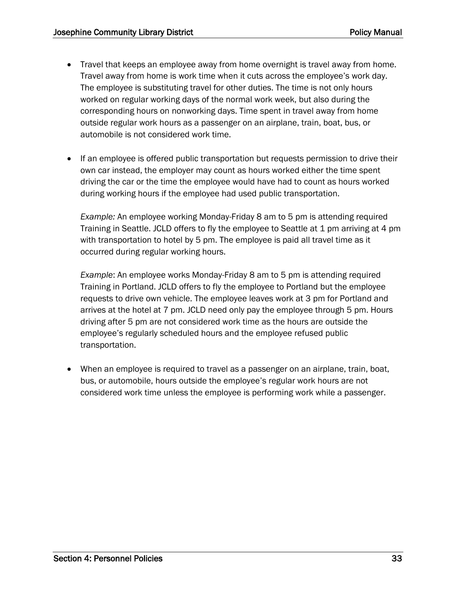- Travel that keeps an employee away from home overnight is travel away from home. Travel away from home is work time when it cuts across the employee's work day. The employee is substituting travel for other duties. The time is not only hours worked on regular working days of the normal work week, but also during the corresponding hours on nonworking days. Time spent in travel away from home outside regular work hours as a passenger on an airplane, train, boat, bus, or automobile is not considered work time.
- If an employee is offered public transportation but requests permission to drive their own car instead, the employer may count as hours worked either the time spent driving the car or the time the employee would have had to count as hours worked during working hours if the employee had used public transportation.

*Example:* An employee working Monday-Friday 8 am to 5 pm is attending required Training in Seattle. JCLD offers to fly the employee to Seattle at 1 pm arriving at 4 pm with transportation to hotel by 5 pm. The employee is paid all travel time as it occurred during regular working hours.

*Example*: An employee works Monday-Friday 8 am to 5 pm is attending required Training in Portland. JCLD offers to fly the employee to Portland but the employee requests to drive own vehicle. The employee leaves work at 3 pm for Portland and arrives at the hotel at 7 pm. JCLD need only pay the employee through 5 pm. Hours driving after 5 pm are not considered work time as the hours are outside the employee's regularly scheduled hours and the employee refused public transportation.

• When an employee is required to travel as a passenger on an airplane, train, boat, bus, or automobile, hours outside the employee's regular work hours are not considered work time unless the employee is performing work while a passenger.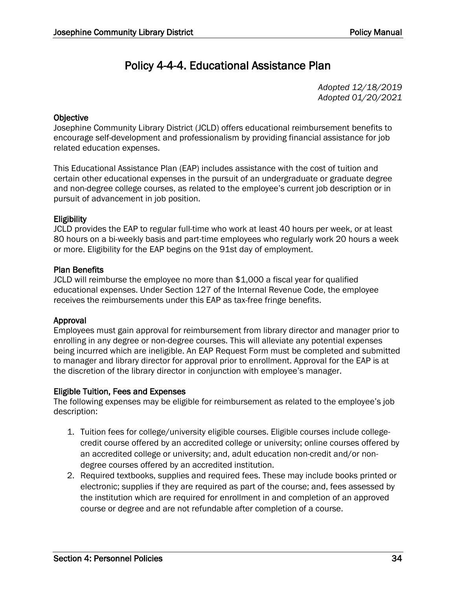# Policy 4-4-4. Educational Assistance Plan

*Adopted 12/18/2019 Adopted 01/20/2021*

#### **Objective**

Josephine Community Library District (JCLD) offers educational reimbursement benefits to encourage self-development and professionalism by providing financial assistance for job related education expenses.

This Educational Assistance Plan (EAP) includes assistance with the cost of tuition and certain other educational expenses in the pursuit of an undergraduate or graduate degree and non-degree college courses, as related to the employee's current job description or in pursuit of advancement in job position.

#### **Eligibility**

JCLD provides the EAP to regular full-time who work at least 40 hours per week, or at least 80 hours on a bi-weekly basis and part-time employees who regularly work 20 hours a week or more. Eligibility for the EAP begins on the 91st day of employment.

#### Plan Benefits

JCLD will reimburse the employee no more than \$1,000 a fiscal year for qualified educational expenses. Under Section 127 of the Internal Revenue Code, the employee receives the reimbursements under this EAP as tax-free fringe benefits.

#### Approval

Employees must gain approval for reimbursement from library director and manager prior to enrolling in any degree or non-degree courses. This will alleviate any potential expenses being incurred which are ineligible. An EAP Request Form must be completed and submitted to manager and library director for approval prior to enrollment. Approval for the EAP is at the discretion of the library director in conjunction with employee's manager.

#### Eligible Tuition, Fees and Expenses

The following expenses may be eligible for reimbursement as related to the employee's job description:

- 1. Tuition fees for college/university eligible courses. Eligible courses include collegecredit course offered by an accredited college or university; online courses offered by an accredited college or university; and, adult education non-credit and/or nondegree courses offered by an accredited institution.
- 2. Required textbooks, supplies and required fees. These may include books printed or electronic; supplies if they are required as part of the course; and, fees assessed by the institution which are required for enrollment in and completion of an approved course or degree and are not refundable after completion of a course.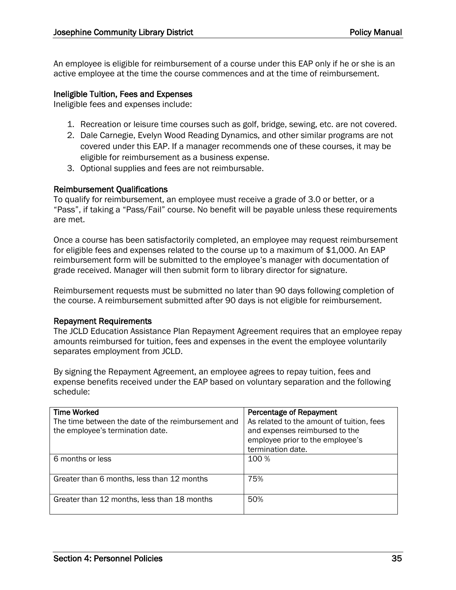An employee is eligible for reimbursement of a course under this EAP only if he or she is an active employee at the time the course commences and at the time of reimbursement.

#### Ineligible Tuition, Fees and Expenses

Ineligible fees and expenses include:

- 1. Recreation or leisure time courses such as golf, bridge, sewing, etc. are not covered.
- 2. Dale Carnegie, Evelyn Wood Reading Dynamics, and other similar programs are not covered under this EAP. If a manager recommends one of these courses, it may be eligible for reimbursement as a business expense.
- 3. Optional supplies and fees are not reimbursable.

#### Reimbursement Qualifications

To qualify for reimbursement, an employee must receive a grade of 3.0 or better, or a "Pass", if taking a "Pass/Fail" course. No benefit will be payable unless these requirements are met.

Once a course has been satisfactorily completed, an employee may request reimbursement for eligible fees and expenses related to the course up to a maximum of \$1,000. An EAP reimbursement form will be submitted to the employee's manager with documentation of grade received. Manager will then submit form to library director for signature.

Reimbursement requests must be submitted no later than 90 days following completion of the course. A reimbursement submitted after 90 days is not eligible for reimbursement.

#### Repayment Requirements

The JCLD Education Assistance Plan Repayment Agreement requires that an employee repay amounts reimbursed for tuition, fees and expenses in the event the employee voluntarily separates employment from JCLD.

By signing the Repayment Agreement, an employee agrees to repay tuition, fees and expense benefits received under the EAP based on voluntary separation and the following schedule:

| <b>Time Worked</b><br>The time between the date of the reimbursement and<br>the employee's termination date. | Percentage of Repayment<br>As related to the amount of tuition, fees<br>and expenses reimbursed to the<br>employee prior to the employee's<br>termination date. |
|--------------------------------------------------------------------------------------------------------------|-----------------------------------------------------------------------------------------------------------------------------------------------------------------|
| 6 months or less                                                                                             | 100 %                                                                                                                                                           |
| Greater than 6 months, less than 12 months                                                                   | 75%                                                                                                                                                             |
| Greater than 12 months, less than 18 months                                                                  | 50%                                                                                                                                                             |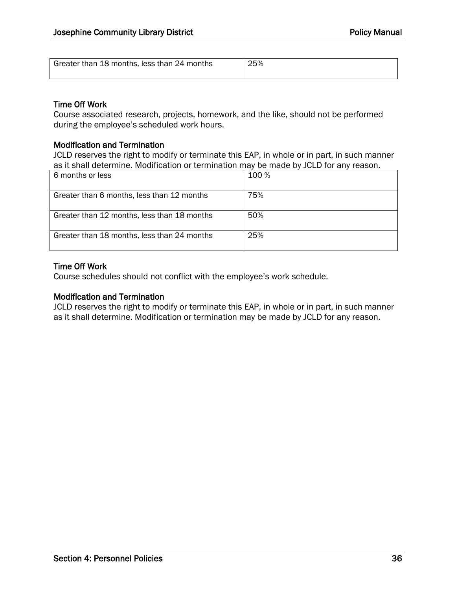| Greater than 18 months, less than 24 months |  |  |
|---------------------------------------------|--|--|
|                                             |  |  |

#### Time Off Work

Course associated research, projects, homework, and the like, should not be performed during the employee's scheduled work hours.

#### Modification and Termination

JCLD reserves the right to modify or terminate this EAP, in whole or in part, in such manner as it shall determine. Modification or termination may be made by JCLD for any reason.

| 6 months or less                            | 100 % |
|---------------------------------------------|-------|
| Greater than 6 months, less than 12 months  | 75%   |
| Greater than 12 months, less than 18 months | 50%   |
| Greater than 18 months, less than 24 months | 25%   |

#### Time Off Work

Course schedules should not conflict with the employee's work schedule.

#### Modification and Termination

JCLD reserves the right to modify or terminate this EAP, in whole or in part, in such manner as it shall determine. Modification or termination may be made by JCLD for any reason.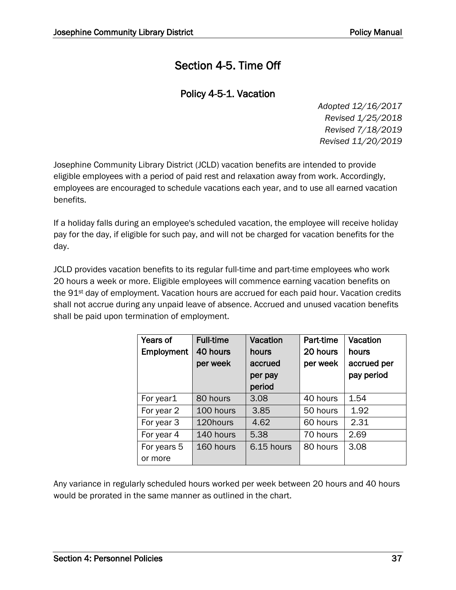# Section 4-5. Time Off

### Policy 4-5-1. Vacation

*Adopted 12/16/2017 Revised 1/25/2018 Revised 7/18/2019 Revised 11/20/2019*

Josephine Community Library District (JCLD) vacation benefits are intended to provide eligible employees with a period of paid rest and relaxation away from work. Accordingly, employees are encouraged to schedule vacations each year, and to use all earned vacation benefits.

If a holiday falls during an employee's scheduled vacation, the employee will receive holiday pay for the day, if eligible for such pay, and will not be charged for vacation benefits for the day.

JCLD provides vacation benefits to its regular full-time and part-time employees who work 20 hours a week or more. Eligible employees will commence earning vacation benefits on the 91st day of employment. Vacation hours are accrued for each paid hour. Vacation credits shall not accrue during any unpaid leave of absence. Accrued and unused vacation benefits shall be paid upon termination of employment.

| Years of    | <b>Full-time</b> | Vacation   | Part-time | Vacation    |
|-------------|------------------|------------|-----------|-------------|
| Employment  | 40 hours         | hours      | 20 hours  | hours       |
|             | per week         | accrued    | per week  | accrued per |
|             |                  | per pay    |           | pay period  |
|             |                  | period     |           |             |
| For year1   | 80 hours         | 3.08       | 40 hours  | 1.54        |
| For year 2  | 100 hours        | 3.85       | 50 hours  | 1.92        |
| For year 3  | 120hours         | 4.62       | 60 hours  | 2.31        |
| For year 4  | 140 hours        | 5.38       | 70 hours  | 2.69        |
| For years 5 | 160 hours        | 6.15 hours | 80 hours  | 3.08        |
| or more     |                  |            |           |             |

Any variance in regularly scheduled hours worked per week between 20 hours and 40 hours would be prorated in the same manner as outlined in the chart.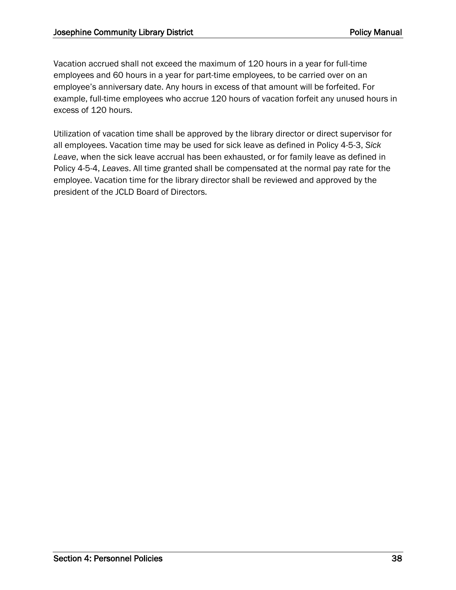Vacation accrued shall not exceed the maximum of 120 hours in a year for full-time employees and 60 hours in a year for part-time employees, to be carried over on an employee's anniversary date. Any hours in excess of that amount will be forfeited. For example, full-time employees who accrue 120 hours of vacation forfeit any unused hours in excess of 120 hours.

Utilization of vacation time shall be approved by the library director or direct supervisor for all employees. Vacation time may be used for sick leave as defined in Policy 4-5-3, *Sick Leave*, when the sick leave accrual has been exhausted, or for family leave as defined in Policy 4-5-4, *Leaves*. All time granted shall be compensated at the normal pay rate for the employee. Vacation time for the library director shall be reviewed and approved by the president of the JCLD Board of Directors.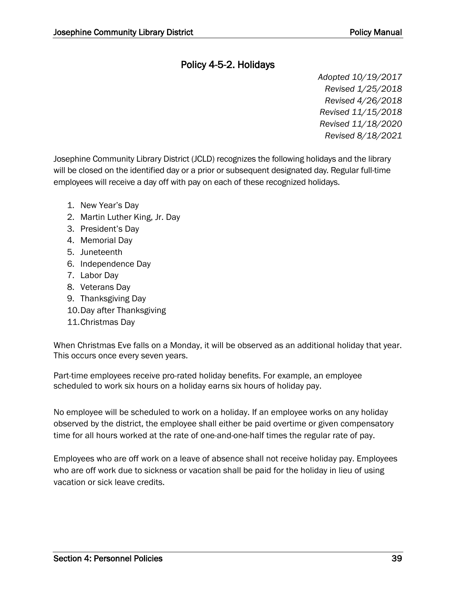### Policy 4-5-2. Holidays

*Adopted 10/19/2017 Revised 1/25/2018 Revised 4/26/2018 Revised 11/15/2018 Revised 11/18/2020 Revised 8/18/2021*

Josephine Community Library District (JCLD) recognizes the following holidays and the library will be closed on the identified day or a prior or subsequent designated day. Regular full-time employees will receive a day off with pay on each of these recognized holidays.

- 1. New Year's Day
- 2. Martin Luther King, Jr. Day
- 3. President's Day
- 4. Memorial Day
- 5. Juneteenth
- 6. Independence Day
- 7. Labor Day
- 8. Veterans Day
- 9. Thanksgiving Day
- 10.Day after Thanksgiving
- 11.Christmas Day

When Christmas Eve falls on a Monday, it will be observed as an additional holiday that year. This occurs once every seven years.

Part-time employees receive pro-rated holiday benefits. For example, an employee scheduled to work six hours on a holiday earns six hours of holiday pay.

No employee will be scheduled to work on a holiday. If an employee works on any holiday observed by the district, the employee shall either be paid overtime or given compensatory time for all hours worked at the rate of one-and-one-half times the regular rate of pay.

Employees who are off work on a leave of absence shall not receive holiday pay. Employees who are off work due to sickness or vacation shall be paid for the holiday in lieu of using vacation or sick leave credits.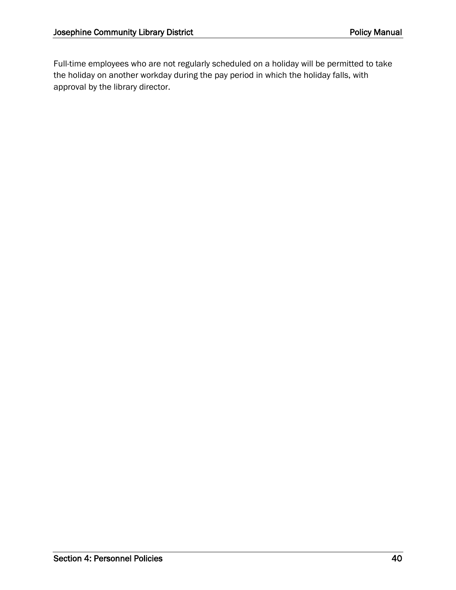Full-time employees who are not regularly scheduled on a holiday will be permitted to take the holiday on another workday during the pay period in which the holiday falls, with approval by the library director.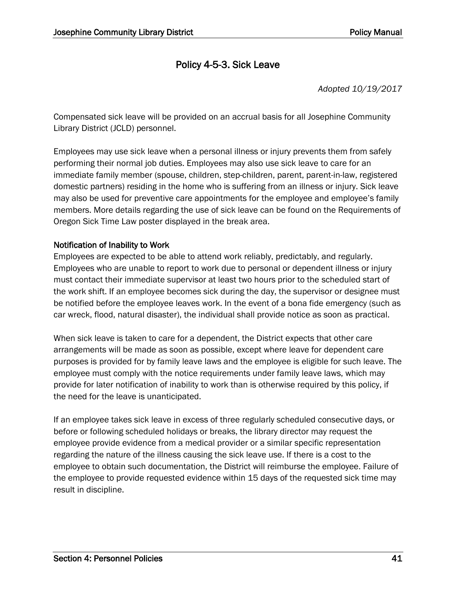### Policy 4-5-3. Sick Leave

*Adopted 10/19/2017*

Compensated sick leave will be provided on an accrual basis for all Josephine Community Library District (JCLD) personnel.

Employees may use sick leave when a personal illness or injury prevents them from safely performing their normal job duties. Employees may also use sick leave to care for an immediate family member (spouse, children, step-children, parent, parent-in-law, registered domestic partners) residing in the home who is suffering from an illness or injury. Sick leave may also be used for preventive care appointments for the employee and employee's family members. More details regarding the use of sick leave can be found on the Requirements of Oregon Sick Time Law poster displayed in the break area.

#### Notification of Inability to Work

Employees are expected to be able to attend work reliably, predictably, and regularly. Employees who are unable to report to work due to personal or dependent illness or injury must contact their immediate supervisor at least two hours prior to the scheduled start of the work shift. If an employee becomes sick during the day, the supervisor or designee must be notified before the employee leaves work. In the event of a bona fide emergency (such as car wreck, flood, natural disaster), the individual shall provide notice as soon as practical.

When sick leave is taken to care for a dependent, the District expects that other care arrangements will be made as soon as possible, except where leave for dependent care purposes is provided for by family leave laws and the employee is eligible for such leave. The employee must comply with the notice requirements under family leave laws, which may provide for later notification of inability to work than is otherwise required by this policy, if the need for the leave is unanticipated.

If an employee takes sick leave in excess of three regularly scheduled consecutive days, or before or following scheduled holidays or breaks, the library director may request the employee provide evidence from a medical provider or a similar specific representation regarding the nature of the illness causing the sick leave use. If there is a cost to the employee to obtain such documentation, the District will reimburse the employee. Failure of the employee to provide requested evidence within 15 days of the requested sick time may result in discipline.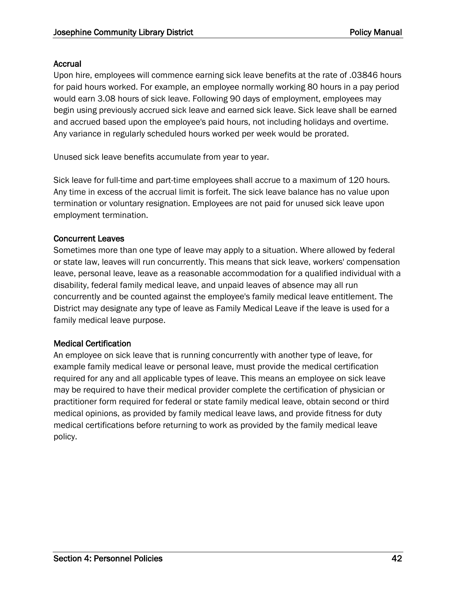#### Accrual

Upon hire, employees will commence earning sick leave benefits at the rate of .03846 hours for paid hours worked. For example, an employee normally working 80 hours in a pay period would earn 3.08 hours of sick leave. Following 90 days of employment, employees may begin using previously accrued sick leave and earned sick leave. Sick leave shall be earned and accrued based upon the employee's paid hours, not including holidays and overtime. Any variance in regularly scheduled hours worked per week would be prorated.

Unused sick leave benefits accumulate from year to year.

Sick leave for full-time and part-time employees shall accrue to a maximum of 120 hours. Any time in excess of the accrual limit is forfeit. The sick leave balance has no value upon termination or voluntary resignation. Employees are not paid for unused sick leave upon employment termination.

#### Concurrent Leaves

Sometimes more than one type of leave may apply to a situation. Where allowed by federal or state law, leaves will run concurrently. This means that sick leave, workers' compensation leave, personal leave, leave as a reasonable accommodation for a qualified individual with a disability, federal family medical leave, and unpaid leaves of absence may all run concurrently and be counted against the employee's family medical leave entitlement. The District may designate any type of leave as Family Medical Leave if the leave is used for a family medical leave purpose.

#### Medical Certification

An employee on sick leave that is running concurrently with another type of leave, for example family medical leave or personal leave, must provide the medical certification required for any and all applicable types of leave. This means an employee on sick leave may be required to have their medical provider complete the certification of physician or practitioner form required for federal or state family medical leave, obtain second or third medical opinions, as provided by family medical leave laws, and provide fitness for duty medical certifications before returning to work as provided by the family medical leave policy.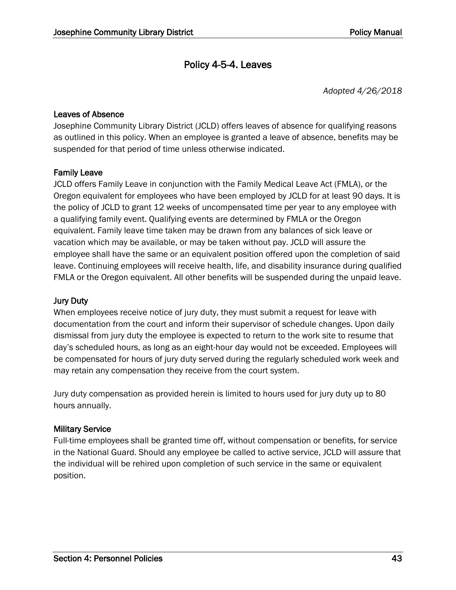### Policy 4-5-4. Leaves

*Adopted 4/26/2018*

#### Leaves of Absence

Josephine Community Library District (JCLD) offers leaves of absence for qualifying reasons as outlined in this policy. When an employee is granted a leave of absence, benefits may be suspended for that period of time unless otherwise indicated.

#### Family Leave

JCLD offers Family Leave in conjunction with the Family Medical Leave Act (FMLA), or the Oregon equivalent for employees who have been employed by JCLD for at least 90 days. It is the policy of JCLD to grant 12 weeks of uncompensated time per year to any employee with a qualifying family event. Qualifying events are determined by FMLA or the Oregon equivalent. Family leave time taken may be drawn from any balances of sick leave or vacation which may be available, or may be taken without pay. JCLD will assure the employee shall have the same or an equivalent position offered upon the completion of said leave. Continuing employees will receive health, life, and disability insurance during qualified FMLA or the Oregon equivalent. All other benefits will be suspended during the unpaid leave.

#### Jury Duty

When employees receive notice of jury duty, they must submit a request for leave with documentation from the court and inform their supervisor of schedule changes. Upon daily dismissal from jury duty the employee is expected to return to the work site to resume that day's scheduled hours, as long as an eight-hour day would not be exceeded. Employees will be compensated for hours of jury duty served during the regularly scheduled work week and may retain any compensation they receive from the court system.

Jury duty compensation as provided herein is limited to hours used for jury duty up to 80 hours annually.

#### Military Service

Full-time employees shall be granted time off, without compensation or benefits, for service in the National Guard. Should any employee be called to active service, JCLD will assure that the individual will be rehired upon completion of such service in the same or equivalent position.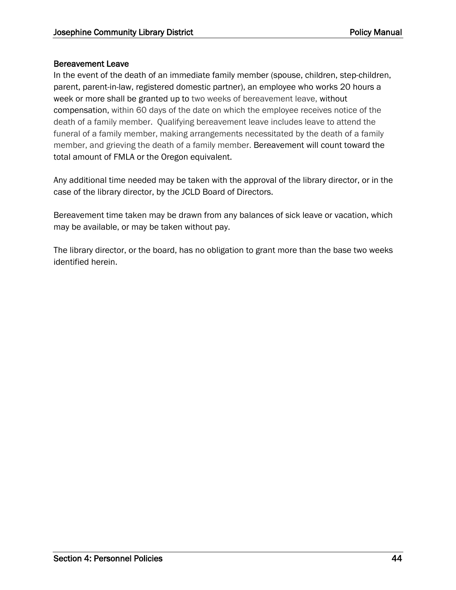#### Bereavement Leave

In the event of the death of an immediate family member (spouse, children, step-children, parent, parent-in-law, registered domestic partner), an employee who works 20 hours a week or more shall be granted up to two weeks of bereavement leave, without compensation, within 60 days of the date on which the employee receives notice of the death of a family member. Qualifying bereavement leave includes leave to attend the funeral of a family member, making arrangements necessitated by the death of a family member, and grieving the death of a family member. Bereavement will count toward the total amount of FMLA or the Oregon equivalent.

Any additional time needed may be taken with the approval of the library director, or in the case of the library director, by the JCLD Board of Directors.

Bereavement time taken may be drawn from any balances of sick leave or vacation, which may be available, or may be taken without pay.

The library director, or the board, has no obligation to grant more than the base two weeks identified herein.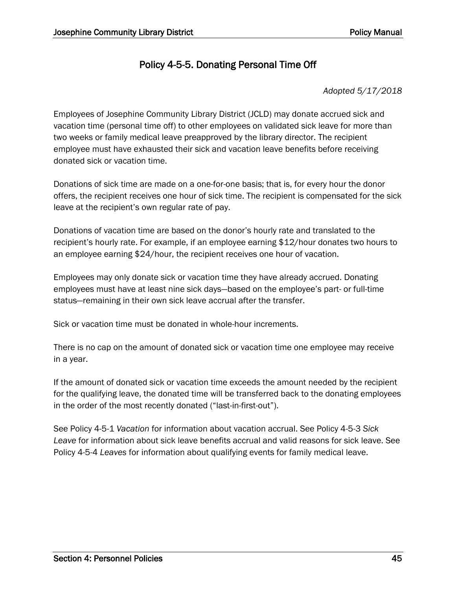### Policy 4-5-5. Donating Personal Time Off

#### *Adopted 5/17/2018*

Employees of Josephine Community Library District (JCLD) may donate accrued sick and vacation time (personal time off) to other employees on validated sick leave for more than two weeks or family medical leave preapproved by the library director. The recipient employee must have exhausted their sick and vacation leave benefits before receiving donated sick or vacation time.

Donations of sick time are made on a one-for-one basis; that is, for every hour the donor offers, the recipient receives one hour of sick time. The recipient is compensated for the sick leave at the recipient's own regular rate of pay.

Donations of vacation time are based on the donor's hourly rate and translated to the recipient's hourly rate. For example, if an employee earning \$12/hour donates two hours to an employee earning \$24/hour, the recipient receives one hour of vacation.

Employees may only donate sick or vacation time they have already accrued. Donating employees must have at least nine sick days—based on the employee's part- or full-time status—remaining in their own sick leave accrual after the transfer.

Sick or vacation time must be donated in whole-hour increments.

There is no cap on the amount of donated sick or vacation time one employee may receive in a year.

If the amount of donated sick or vacation time exceeds the amount needed by the recipient for the qualifying leave, the donated time will be transferred back to the donating employees in the order of the most recently donated ("last-in-first-out").

See Policy 4-5-1 *Vacation* for information about vacation accrual. See Policy 4-5-3 *Sick Leave* for information about sick leave benefits accrual and valid reasons for sick leave. See Policy 4-5-4 *Leaves* for information about qualifying events for family medical leave.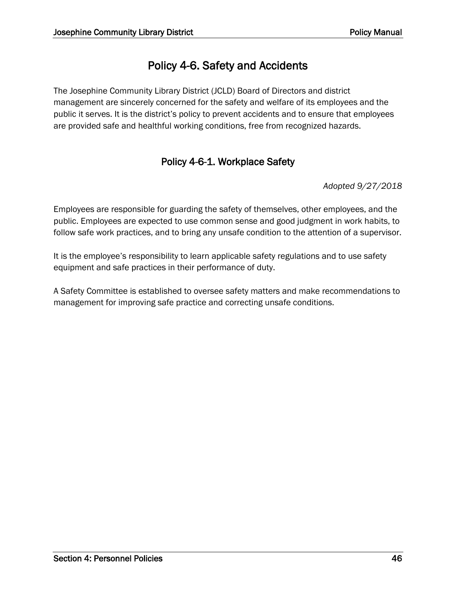# Policy 4-6. Safety and Accidents

The Josephine Community Library District (JCLD) Board of Directors and district management are sincerely concerned for the safety and welfare of its employees and the public it serves. It is the district's policy to prevent accidents and to ensure that employees are provided safe and healthful working conditions, free from recognized hazards.

### Policy 4-6-1. Workplace Safety

*Adopted 9/27/2018*

Employees are responsible for guarding the safety of themselves, other employees, and the public. Employees are expected to use common sense and good judgment in work habits, to follow safe work practices, and to bring any unsafe condition to the attention of a supervisor.

It is the employee's responsibility to learn applicable safety regulations and to use safety equipment and safe practices in their performance of duty.

A Safety Committee is established to oversee safety matters and make recommendations to management for improving safe practice and correcting unsafe conditions.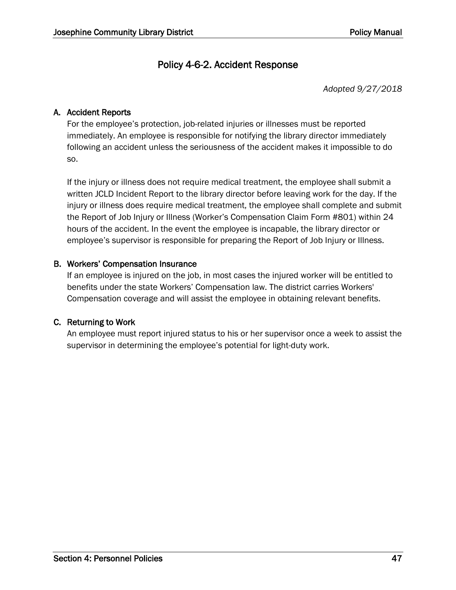### Policy 4-6-2. Accident Response

*Adopted 9/27/2018*

#### A. Accident Reports

For the employee's protection, job-related injuries or illnesses must be reported immediately. An employee is responsible for notifying the library director immediately following an accident unless the seriousness of the accident makes it impossible to do so.

If the injury or illness does not require medical treatment, the employee shall submit a written JCLD Incident Report to the library director before leaving work for the day. If the injury or illness does require medical treatment, the employee shall complete and submit the Report of Job Injury or Illness (Worker's Compensation Claim Form #801) within 24 hours of the accident. In the event the employee is incapable, the library director or employee's supervisor is responsible for preparing the Report of Job Injury or Illness.

#### B. Workers' Compensation Insurance

If an employee is injured on the job, in most cases the injured worker will be entitled to benefits under the state Workers' Compensation law. The district carries Workers' Compensation coverage and will assist the employee in obtaining relevant benefits.

#### C. Returning to Work

An employee must report injured status to his or her supervisor once a week to assist the supervisor in determining the employee's potential for light-duty work.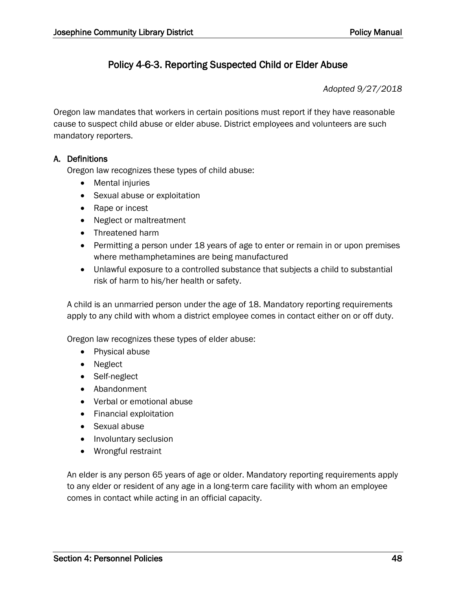### Policy 4-6-3. Reporting Suspected Child or Elder Abuse

*Adopted 9/27/2018*

Oregon law mandates that workers in certain positions must report if they have reasonable cause to suspect child abuse or elder abuse. District employees and volunteers are such mandatory reporters.

#### A. Definitions

Oregon law recognizes these types of child abuse:

- Mental injuries
- Sexual abuse or exploitation
- Rape or incest
- Neglect or maltreatment
- Threatened harm
- Permitting a person under 18 years of age to enter or remain in or upon premises where methamphetamines are being manufactured
- Unlawful exposure to a controlled substance that subjects a child to substantial risk of harm to his/her health or safety.

A child is an unmarried person under the age of 18. Mandatory reporting requirements apply to any child with whom a district employee comes in contact either on or off duty.

Oregon law recognizes these types of elder abuse:

- Physical abuse
- Neglect
- Self-neglect
- Abandonment
- Verbal or emotional abuse
- Financial exploitation
- Sexual abuse
- Involuntary seclusion
- Wrongful restraint

An elder is any person 65 years of age or older. Mandatory reporting requirements apply to any elder or resident of any age in a long-term care facility with whom an employee comes in contact while acting in an official capacity.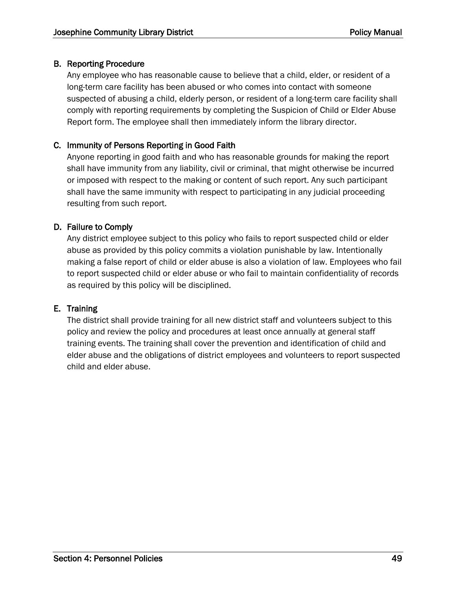#### B. Reporting Procedure

Any employee who has reasonable cause to believe that a child, elder, or resident of a long-term care facility has been abused or who comes into contact with someone suspected of abusing a child, elderly person, or resident of a long-term care facility shall comply with reporting requirements by completing the Suspicion of Child or Elder Abuse Report form. The employee shall then immediately inform the library director.

#### C. Immunity of Persons Reporting in Good Faith

Anyone reporting in good faith and who has reasonable grounds for making the report shall have immunity from any liability, civil or criminal, that might otherwise be incurred or imposed with respect to the making or content of such report. Any such participant shall have the same immunity with respect to participating in any judicial proceeding resulting from such report.

#### D. Failure to Comply

Any district employee subject to this policy who fails to report suspected child or elder abuse as provided by this policy commits a violation punishable by law. Intentionally making a false report of child or elder abuse is also a violation of law. Employees who fail to report suspected child or elder abuse or who fail to maintain confidentiality of records as required by this policy will be disciplined.

#### E. Training

The district shall provide training for all new district staff and volunteers subject to this policy and review the policy and procedures at least once annually at general staff training events. The training shall cover the prevention and identification of child and elder abuse and the obligations of district employees and volunteers to report suspected child and elder abuse.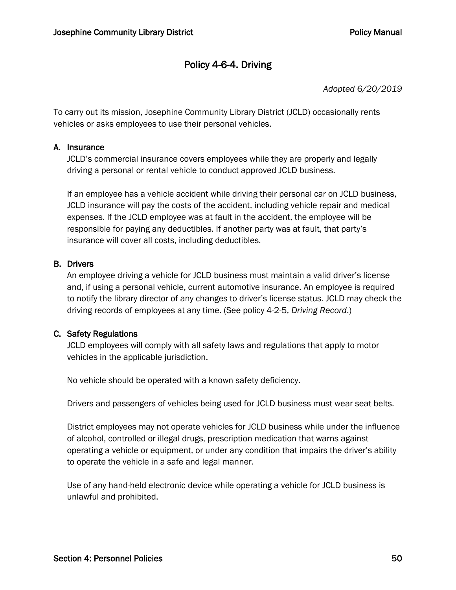### Policy 4-6-4. Driving

*Adopted 6/20/2019*

To carry out its mission, Josephine Community Library District (JCLD) occasionally rents vehicles or asks employees to use their personal vehicles.

#### A. Insurance

JCLD's commercial insurance covers employees while they are properly and legally driving a personal or rental vehicle to conduct approved JCLD business.

If an employee has a vehicle accident while driving their personal car on JCLD business, JCLD insurance will pay the costs of the accident, including vehicle repair and medical expenses. If the JCLD employee was at fault in the accident, the employee will be responsible for paying any deductibles. If another party was at fault, that party's insurance will cover all costs, including deductibles.

#### B. Drivers

An employee driving a vehicle for JCLD business must maintain a valid driver's license and, if using a personal vehicle, current automotive insurance. An employee is required to notify the library director of any changes to driver's license status. JCLD may check the driving records of employees at any time. (See policy 4-2-5, *Driving Record*.)

#### C. Safety Regulations

JCLD employees will comply with all safety laws and regulations that apply to motor vehicles in the applicable jurisdiction.

No vehicle should be operated with a known safety deficiency.

Drivers and passengers of vehicles being used for JCLD business must wear seat belts.

District employees may not operate vehicles for JCLD business while under the influence of alcohol, controlled or illegal drugs, prescription medication that warns against operating a vehicle or equipment, or under any condition that impairs the driver's ability to operate the vehicle in a safe and legal manner.

Use of any hand-held electronic device while operating a vehicle for JCLD business is unlawful and prohibited.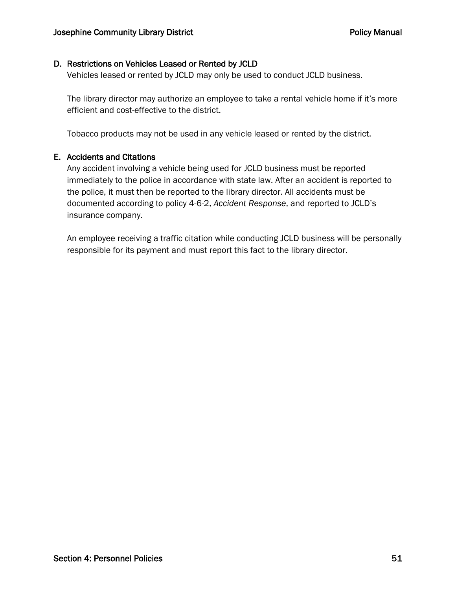#### D. Restrictions on Vehicles Leased or Rented by JCLD

Vehicles leased or rented by JCLD may only be used to conduct JCLD business.

The library director may authorize an employee to take a rental vehicle home if it's more efficient and cost-effective to the district.

Tobacco products may not be used in any vehicle leased or rented by the district.

#### E. Accidents and Citations

Any accident involving a vehicle being used for JCLD business must be reported immediately to the police in accordance with state law. After an accident is reported to the police, it must then be reported to the library director. All accidents must be documented according to policy 4-6-2, *Accident Response*, and reported to JCLD's insurance company.

An employee receiving a traffic citation while conducting JCLD business will be personally responsible for its payment and must report this fact to the library director.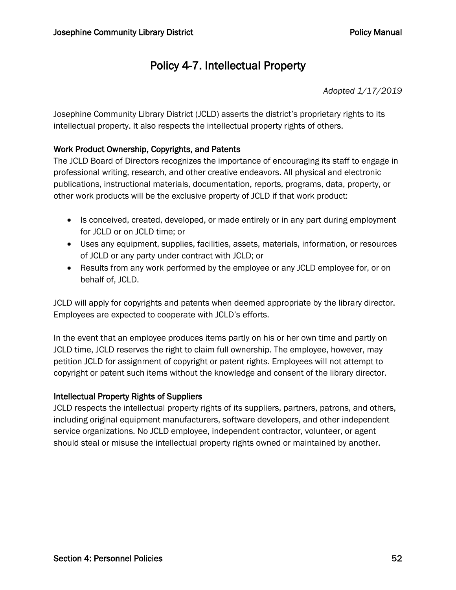# Policy 4-7. Intellectual Property

*Adopted 1/17/2019*

Josephine Community Library District (JCLD) asserts the district's proprietary rights to its intellectual property. It also respects the intellectual property rights of others.

#### Work Product Ownership, Copyrights, and Patents

The JCLD Board of Directors recognizes the importance of encouraging its staff to engage in professional writing, research, and other creative endeavors. All physical and electronic publications, instructional materials, documentation, reports, programs, data, property, or other work products will be the exclusive property of JCLD if that work product:

- Is conceived, created, developed, or made entirely or in any part during employment for JCLD or on JCLD time; or
- Uses any equipment, supplies, facilities, assets, materials, information, or resources of JCLD or any party under contract with JCLD; or
- Results from any work performed by the employee or any JCLD employee for, or on behalf of, JCLD.

JCLD will apply for copyrights and patents when deemed appropriate by the library director. Employees are expected to cooperate with JCLD's efforts.

In the event that an employee produces items partly on his or her own time and partly on JCLD time, JCLD reserves the right to claim full ownership. The employee, however, may petition JCLD for assignment of copyright or patent rights. Employees will not attempt to copyright or patent such items without the knowledge and consent of the library director.

#### Intellectual Property Rights of Suppliers

JCLD respects the intellectual property rights of its suppliers, partners, patrons, and others, including original equipment manufacturers, software developers, and other independent service organizations. No JCLD employee, independent contractor, volunteer, or agent should steal or misuse the intellectual property rights owned or maintained by another.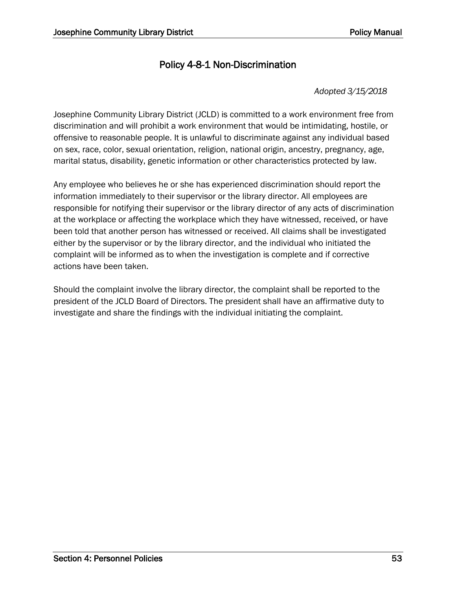### Policy 4-8-1 Non-Discrimination

#### *Adopted 3/15/2018*

Josephine Community Library District (JCLD) is committed to a work environment free from discrimination and will prohibit a work environment that would be intimidating, hostile, or offensive to reasonable people. It is unlawful to discriminate against any individual based on sex, race, color, sexual orientation, religion, national origin, ancestry, pregnancy, age, marital status, disability, genetic information or other characteristics protected by law.

Any employee who believes he or she has experienced discrimination should report the information immediately to their supervisor or the library director. All employees are responsible for notifying their supervisor or the library director of any acts of discrimination at the workplace or affecting the workplace which they have witnessed, received, or have been told that another person has witnessed or received. All claims shall be investigated either by the supervisor or by the library director, and the individual who initiated the complaint will be informed as to when the investigation is complete and if corrective actions have been taken.

Should the complaint involve the library director, the complaint shall be reported to the president of the JCLD Board of Directors. The president shall have an affirmative duty to investigate and share the findings with the individual initiating the complaint.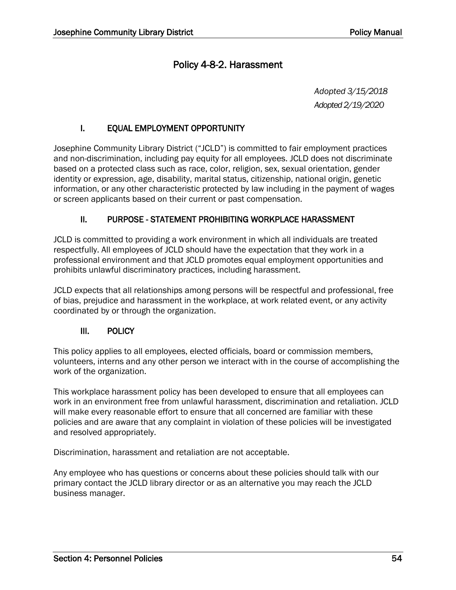### Policy 4-8-2. Harassment

*Adopted 3/15/2018 Adopted 2/19/2020*

#### I. EQUAL EMPLOYMENT OPPORTUNITY

Josephine Community Library District ("JCLD") is committed to fair employment practices and non-discrimination, including pay equity for all employees. JCLD does not discriminate based on a protected class such as race, color, religion, sex, sexual orientation, gender identity or expression, age, disability, marital status, citizenship, national origin, genetic information, or any other characteristic protected by law including in the payment of wages or screen applicants based on their current or past compensation.

#### II. PURPOSE - STATEMENT PROHIBITING WORKPLACE HARASSMENT

JCLD is committed to providing a work environment in which all individuals are treated respectfully. All employees of JCLD should have the expectation that they work in a professional environment and that JCLD promotes equal employment opportunities and prohibits unlawful discriminatory practices, including harassment.

JCLD expects that all relationships among persons will be respectful and professional, free of bias, prejudice and harassment in the workplace, at work related event, or any activity coordinated by or through the organization.

#### III. POLICY

This policy applies to all employees, elected officials, board or commission members, volunteers, interns and any other person we interact with in the course of accomplishing the work of the organization.

This workplace harassment policy has been developed to ensure that all employees can work in an environment free from unlawful harassment, discrimination and retaliation. JCLD will make every reasonable effort to ensure that all concerned are familiar with these policies and are aware that any complaint in violation of these policies will be investigated and resolved appropriately.

Discrimination, harassment and retaliation are not acceptable.

Any employee who has questions or concerns about these policies should talk with our primary contact the JCLD library director or as an alternative you may reach the JCLD business manager.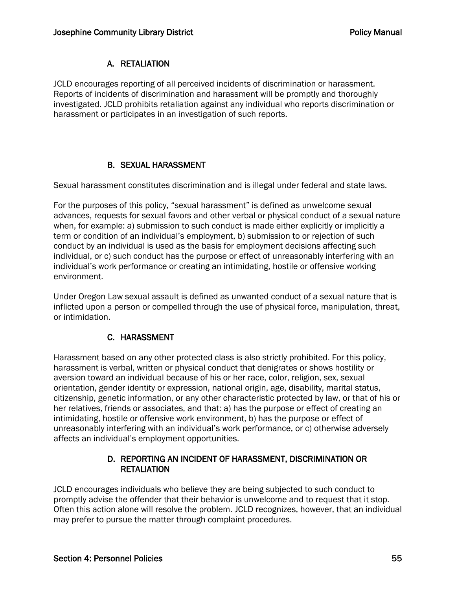#### A. RETALIATION

JCLD encourages reporting of all perceived incidents of discrimination or harassment. Reports of incidents of discrimination and harassment will be promptly and thoroughly investigated. JCLD prohibits retaliation against any individual who reports discrimination or harassment or participates in an investigation of such reports.

### B. SEXUAL HARASSMENT

Sexual harassment constitutes discrimination and is illegal under federal and state laws.

For the purposes of this policy, "sexual harassment" is defined as unwelcome sexual advances, requests for sexual favors and other verbal or physical conduct of a sexual nature when, for example: a) submission to such conduct is made either explicitly or implicitly a term or condition of an individual's employment, b) submission to or rejection of such conduct by an individual is used as the basis for employment decisions affecting such individual, or c) such conduct has the purpose or effect of unreasonably interfering with an individual's work performance or creating an intimidating, hostile or offensive working environment.

Under Oregon Law sexual assault is defined as unwanted conduct of a sexual nature that is inflicted upon a person or compelled through the use of physical force, manipulation, threat, or intimidation.

#### C. HARASSMENT

Harassment based on any other protected class is also strictly prohibited. For this policy, harassment is verbal, written or physical conduct that denigrates or shows hostility or aversion toward an individual because of his or her race, color, religion, sex, sexual orientation, gender identity or expression, national origin, age, disability, marital status, citizenship, genetic information, or any other characteristic protected by law, or that of his or her relatives, friends or associates, and that: a) has the purpose or effect of creating an intimidating, hostile or offensive work environment, b) has the purpose or effect of unreasonably interfering with an individual's work performance, or c) otherwise adversely affects an individual's employment opportunities.

#### D. REPORTING AN INCIDENT OF HARASSMENT, DISCRIMINATION OR **RETALIATION**

JCLD encourages individuals who believe they are being subjected to such conduct to promptly advise the offender that their behavior is unwelcome and to request that it stop. Often this action alone will resolve the problem. JCLD recognizes, however, that an individual may prefer to pursue the matter through complaint procedures.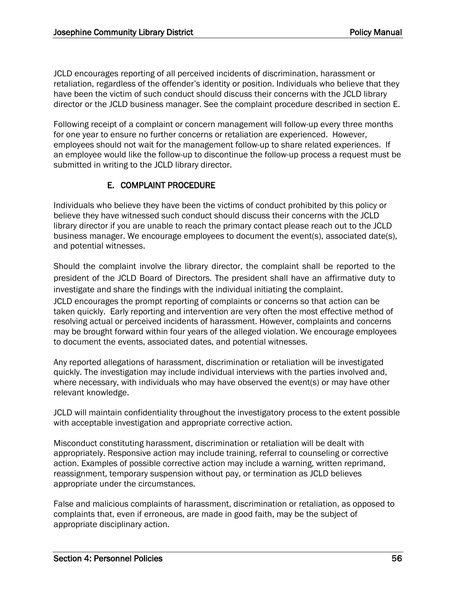JCLD encourages reporting of all perceived incidents of discrimination, harassment or retaliation, regardless of the offender's identity or position. Individuals who believe that they have been the victim of such conduct should discuss their concerns with the JCLD library director or the JCLD business manager. See the complaint procedure described in section E.

Following receipt of a complaint or concern management will follow-up every three months for one year to ensure no further concerns or retaliation are experienced. However, employees should not wait for the management follow-up to share related experiences. If an employee would like the follow-up to discontinue the follow-up process a request must be submitted in writing to the JCLD library director.

#### E. COMPLAINT PROCEDURE

Individuals who believe they have been the victims of conduct prohibited by this policy or believe they have witnessed such conduct should discuss their concerns with the JCLD library director if you are unable to reach the primary contact please reach out to the JCLD business manager. We encourage employees to document the event(s), associated date(s), and potential witnesses.

Should the complaint involve the library director, the complaint shall be reported to the president of the JCLD Board of Directors. The president shall have an affirmative duty to investigate and share the findings with the individual initiating the complaint. JCLD encourages the prompt reporting of complaints or concerns so that action can be taken quickly. Early reporting and intervention are very often the most effective method of resolving actual or perceived incidents of harassment. However, complaints and concerns may be brought forward within four years of the alleged violation. We encourage employees to document the events, associated dates, and potential witnesses.

Any reported allegations of harassment, discrimination or retaliation will be investigated quickly. The investigation may include individual interviews with the parties involved and, where necessary, with individuals who may have observed the event(s) or may have other relevant knowledge.

JCLD will maintain confidentiality throughout the investigatory process to the extent possible with acceptable investigation and appropriate corrective action.

Misconduct constituting harassment, discrimination or retaliation will be dealt with appropriately. Responsive action may include training, referral to counseling or corrective action. Examples of possible corrective action may include a warning, written reprimand, reassignment, temporary suspension without pay, or termination as JCLD believes appropriate under the circumstances.

False and malicious complaints of harassment, discrimination or retaliation, as opposed to complaints that, even if erroneous, are made in good faith, may be the subject of appropriate disciplinary action.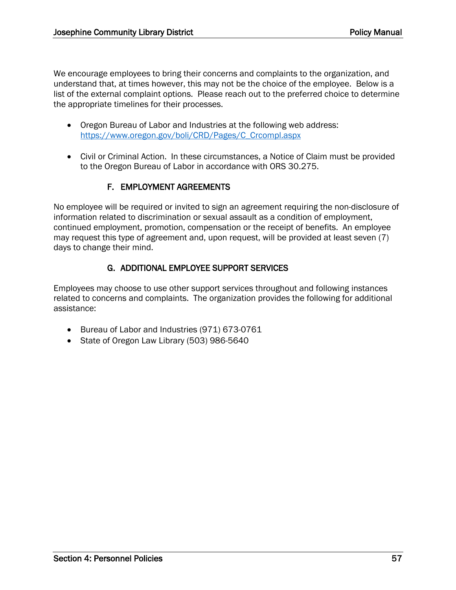We encourage employees to bring their concerns and complaints to the organization, and understand that, at times however, this may not be the choice of the employee. Below is a list of the external complaint options. Please reach out to the preferred choice to determine the appropriate timelines for their processes.

- Oregon Bureau of Labor and Industries at the following web address: [https://www.oregon.gov/boli/CRD/Pages/C\\_Crcompl.aspx](https://www.oregon.gov/boli/CRD/Pages/C_Crcompl.aspx)
- Civil or Criminal Action. In these circumstances, a Notice of Claim must be provided to the Oregon Bureau of Labor in accordance with ORS 30.275.

#### F. EMPLOYMENT AGREEMENTS

No employee will be required or invited to sign an agreement requiring the non-disclosure of information related to discrimination or sexual assault as a condition of employment, continued employment, promotion, compensation or the receipt of benefits. An employee may request this type of agreement and, upon request, will be provided at least seven (7) days to change their mind.

#### G. ADDITIONAL EMPLOYEE SUPPORT SERVICES

Employees may choose to use other support services throughout and following instances related to concerns and complaints. The organization provides the following for additional assistance:

- Bureau of Labor and Industries (971) 673-0761
- State of Oregon Law Library (503) 986-5640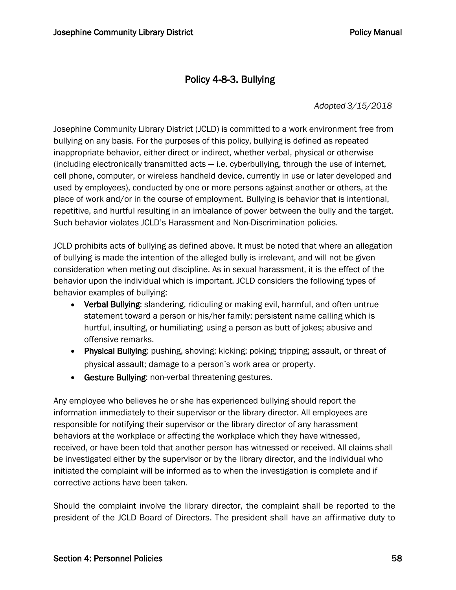### Policy 4-8-3. Bullying

*Adopted 3/15/2018*

Josephine Community Library District (JCLD) is committed to a work environment free from bullying on any basis. For the purposes of this policy, bullying is defined as repeated inappropriate behavior, either direct or indirect, whether verbal, physical or otherwise (including electronically transmitted acts — i.e. cyberbullying, through the use of internet, cell phone, computer, or wireless handheld device, currently in use or later developed and used by employees), conducted by one or more persons against another or others, at the place of work and/or in the course of employment. Bullying is behavior that is intentional, repetitive, and hurtful resulting in an imbalance of power between the bully and the target. Such behavior violates JCLD's Harassment and Non-Discrimination policies.

JCLD prohibits acts of bullying as defined above. It must be noted that where an allegation of bullying is made the intention of the alleged bully is irrelevant, and will not be given consideration when meting out discipline. As in sexual harassment, it is the effect of the behavior upon the individual which is important. JCLD considers the following types of behavior examples of bullying:

- Verbal Bullying: slandering, ridiculing or making evil, harmful, and often untrue statement toward a person or his/her family; persistent name calling which is hurtful, insulting, or humiliating; using a person as butt of jokes; abusive and offensive remarks.
- Physical Bullying: pushing, shoving; kicking; poking; tripping; assault, or threat of physical assault; damage to a person's work area or property.
- Gesture Bullying: non-verbal threatening gestures.

Any employee who believes he or she has experienced bullying should report the information immediately to their supervisor or the library director. All employees are responsible for notifying their supervisor or the library director of any harassment behaviors at the workplace or affecting the workplace which they have witnessed, received, or have been told that another person has witnessed or received. All claims shall be investigated either by the supervisor or by the library director, and the individual who initiated the complaint will be informed as to when the investigation is complete and if corrective actions have been taken.

Should the complaint involve the library director, the complaint shall be reported to the president of the JCLD Board of Directors. The president shall have an affirmative duty to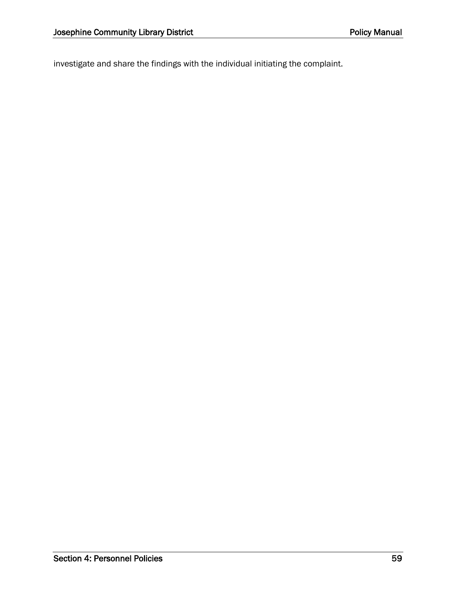investigate and share the findings with the individual initiating the complaint.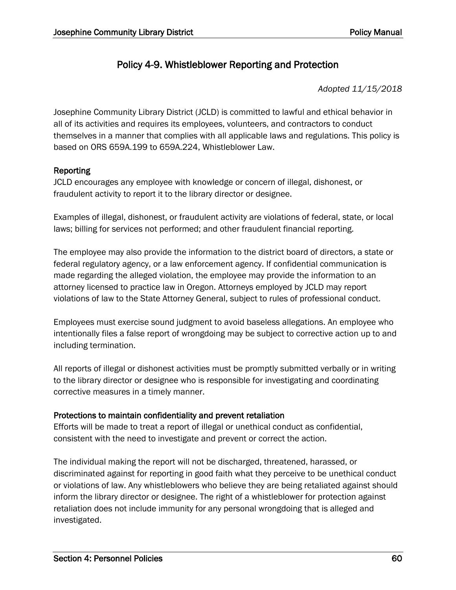### Policy 4-9. Whistleblower Reporting and Protection

*Adopted 11/15/2018*

Josephine Community Library District (JCLD) is committed to lawful and ethical behavior in all of its activities and requires its employees, volunteers, and contractors to conduct themselves in a manner that complies with all applicable laws and regulations. This policy is based on ORS 659A.199 to 659A.224, Whistleblower Law.

#### Reporting

JCLD encourages any employee with knowledge or concern of illegal, dishonest, or fraudulent activity to report it to the library director or designee.

Examples of illegal, dishonest, or fraudulent activity are violations of federal, state, or local laws; billing for services not performed; and other fraudulent financial reporting.

The employee may also provide the information to the district board of directors, a state or federal regulatory agency, or a law enforcement agency. If confidential communication is made regarding the alleged violation, the employee may provide the information to an attorney licensed to practice law in Oregon. Attorneys employed by JCLD may report violations of law to the State Attorney General, subject to rules of professional conduct.

Employees must exercise sound judgment to avoid baseless allegations. An employee who intentionally files a false report of wrongdoing may be subject to corrective action up to and including termination.

All reports of illegal or dishonest activities must be promptly submitted verbally or in writing to the library director or designee who is responsible for investigating and coordinating corrective measures in a timely manner.

#### Protections to maintain confidentiality and prevent retaliation

Efforts will be made to treat a report of illegal or unethical conduct as confidential, consistent with the need to investigate and prevent or correct the action.

The individual making the report will not be discharged, threatened, harassed, or discriminated against for reporting in good faith what they perceive to be unethical conduct or violations of law. Any whistleblowers who believe they are being retaliated against should inform the library director or designee. The right of a whistleblower for protection against retaliation does not include immunity for any personal wrongdoing that is alleged and investigated.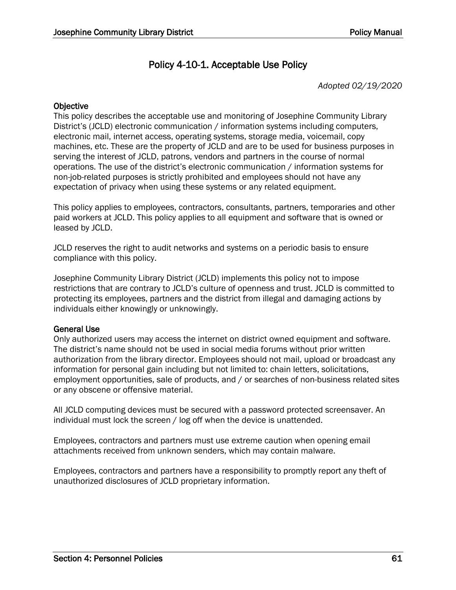### Policy 4-10-1. Acceptable Use Policy

*Adopted 02/19/2020*

#### **Objective**

This policy describes the acceptable use and monitoring of Josephine Community Library District's (JCLD) electronic communication / information systems including computers, electronic mail, internet access, operating systems, storage media, voicemail, copy machines, etc. These are the property of JCLD and are to be used for business purposes in serving the interest of JCLD, patrons, vendors and partners in the course of normal operations. The use of the district's electronic communication / information systems for non-job-related purposes is strictly prohibited and employees should not have any expectation of privacy when using these systems or any related equipment.

This policy applies to employees, contractors, consultants, partners, temporaries and other paid workers at JCLD. This policy applies to all equipment and software that is owned or leased by JCLD.

JCLD reserves the right to audit networks and systems on a periodic basis to ensure compliance with this policy.

Josephine Community Library District (JCLD) implements this policy not to impose restrictions that are contrary to JCLD's culture of openness and trust. JCLD is committed to protecting its employees, partners and the district from illegal and damaging actions by individuals either knowingly or unknowingly.

#### General Use

Only authorized users may access the internet on district owned equipment and software. The district's name should not be used in social media forums without prior written authorization from the library director. Employees should not mail, upload or broadcast any information for personal gain including but not limited to: chain letters, solicitations, employment opportunities, sale of products, and / or searches of non-business related sites or any obscene or offensive material.

All JCLD computing devices must be secured with a password protected screensaver. An individual must lock the screen / log off when the device is unattended.

Employees, contractors and partners must use extreme caution when opening email attachments received from unknown senders, which may contain malware.

Employees, contractors and partners have a responsibility to promptly report any theft of unauthorized disclosures of JCLD proprietary information.